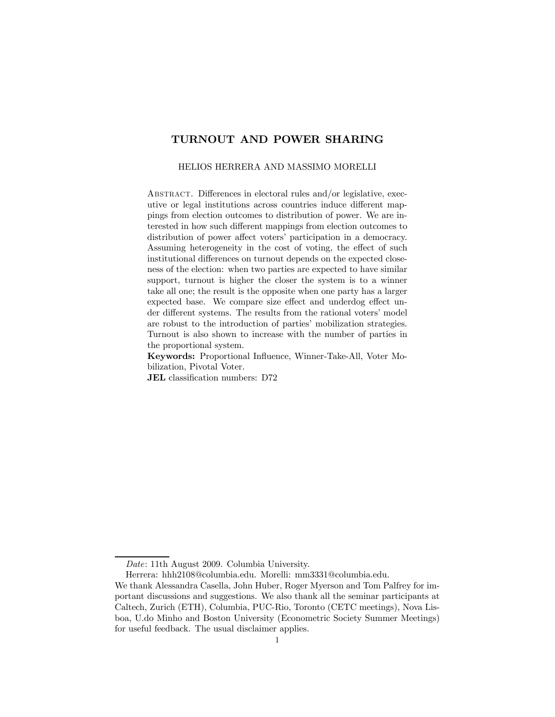# TURNOUT AND POWER SHARING

#### HELIOS HERRERA AND MASSIMO MORELLI

Abstract. Differences in electoral rules and/or legislative, executive or legal institutions across countries induce different mappings from election outcomes to distribution of power. We are interested in how such different mappings from election outcomes to distribution of power affect voters' participation in a democracy. Assuming heterogeneity in the cost of voting, the effect of such institutional differences on turnout depends on the expected closeness of the election: when two parties are expected to have similar support, turnout is higher the closer the system is to a winner take all one; the result is the opposite when one party has a larger expected base. We compare size effect and underdog effect under different systems. The results from the rational voters' model are robust to the introduction of parties' mobilization strategies. Turnout is also shown to increase with the number of parties in the proportional system.

Keywords: Proportional Influence, Winner-Take-All, Voter Mobilization, Pivotal Voter.

JEL classification numbers: D72

Date: 11th August 2009. Columbia University.

Herrera: hhh2108@columbia.edu. Morelli: mm3331@columbia.edu.

We thank Alessandra Casella, John Huber, Roger Myerson and Tom Palfrey for important discussions and suggestions. We also thank all the seminar participants at Caltech, Zurich (ETH), Columbia, PUC-Rio, Toronto (CETC meetings), Nova Lisboa, U.do Minho and Boston University (Econometric Society Summer Meetings) for useful feedback. The usual disclaimer applies.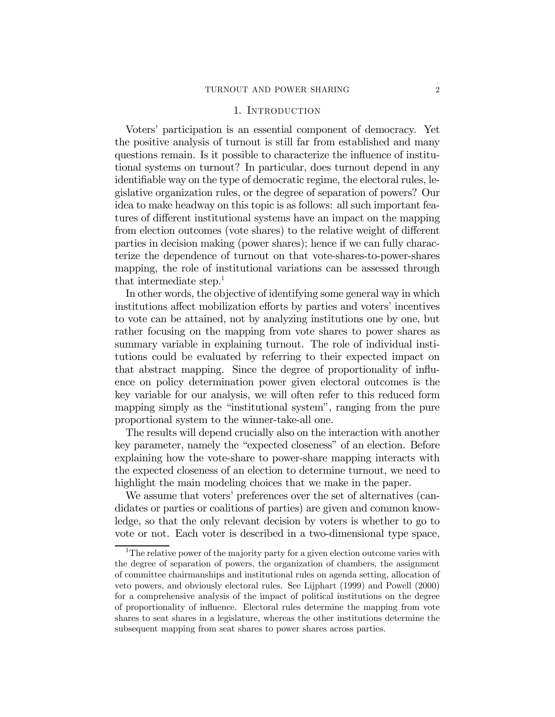## 1. INTRODUCTION

Voters' participation is an essential component of democracy. Yet the positive analysis of turnout is still far from established and many questions remain. Is it possible to characterize the influence of institutional systems on turnout? In particular, does turnout depend in any identifiable way on the type of democratic regime, the electoral rules, legislative organization rules, or the degree of separation of powers? Our idea to make headway on this topic is as follows: all such important features of different institutional systems have an impact on the mapping from election outcomes (vote shares) to the relative weight of different parties in decision making (power shares); hence if we can fully characterize the dependence of turnout on that vote-shares-to-power-shares mapping, the role of institutional variations can be assessed through that intermediate step.<sup>1</sup>

In other words, the objective of identifying some general way in which institutions affect mobilization efforts by parties and voters' incentives to vote can be attained, not by analyzing institutions one by one, but rather focusing on the mapping from vote shares to power shares as summary variable in explaining turnout. The role of individual institutions could be evaluated by referring to their expected impact on that abstract mapping. Since the degree of proportionality of influence on policy determination power given electoral outcomes is the key variable for our analysis, we will often refer to this reduced form mapping simply as the "institutional system", ranging from the pure proportional system to the winner-take-all one.

The results will depend crucially also on the interaction with another key parameter, namely the "expected closeness" of an election. Before explaining how the vote-share to power-share mapping interacts with the expected closeness of an election to determine turnout, we need to highlight the main modeling choices that we make in the paper.

We assume that voters' preferences over the set of alternatives (candidates or parties or coalitions of parties) are given and common knowledge, so that the only relevant decision by voters is whether to go to vote or not. Each voter is described in a two-dimensional type space,

<sup>&</sup>lt;sup>1</sup>The relative power of the majority party for a given election outcome varies with the degree of separation of powers, the organization of chambers, the assignment of committee chairmanships and institutional rules on agenda setting, allocation of veto powers, and obviously electoral rules. See Lijphart (1999) and Powell (2000) for a comprehensive analysis of the impact of political institutions on the degree of proportionality of influence. Electoral rules determine the mapping from vote shares to seat shares in a legislature, whereas the other institutions determine the subsequent mapping from seat shares to power shares across parties.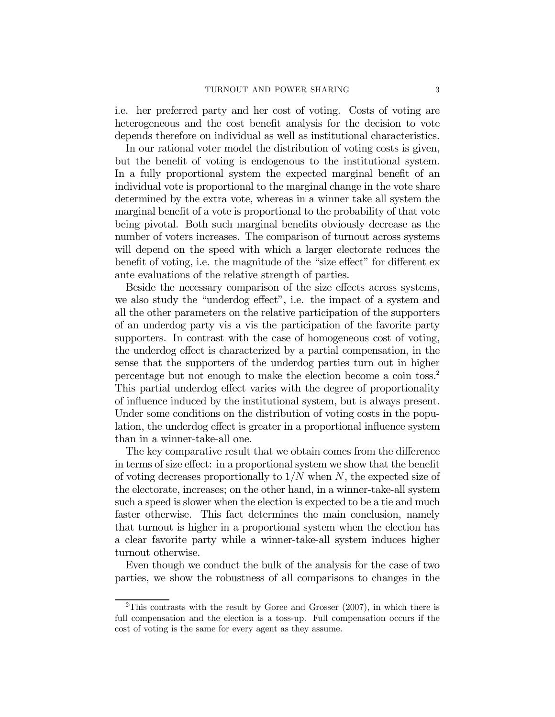i.e. her preferred party and her cost of voting. Costs of voting are heterogeneous and the cost benefit analysis for the decision to vote depends therefore on individual as well as institutional characteristics.

In our rational voter model the distribution of voting costs is given, but the benefit of voting is endogenous to the institutional system. In a fully proportional system the expected marginal benefit of an individual vote is proportional to the marginal change in the vote share determined by the extra vote, whereas in a winner take all system the marginal benefit of a vote is proportional to the probability of that vote being pivotal. Both such marginal benefits obviously decrease as the number of voters increases. The comparison of turnout across systems will depend on the speed with which a larger electorate reduces the benefit of voting, i.e. the magnitude of the "size effect" for different ex ante evaluations of the relative strength of parties.

Beside the necessary comparison of the size effects across systems, we also study the "underdog effect", i.e. the impact of a system and all the other parameters on the relative participation of the supporters of an underdog party vis a vis the participation of the favorite party supporters. In contrast with the case of homogeneous cost of voting, the underdog effect is characterized by a partial compensation, in the sense that the supporters of the underdog parties turn out in higher percentage but not enough to make the election become a coin toss.2 This partial underdog effect varies with the degree of proportionality of influence induced by the institutional system, but is always present. Under some conditions on the distribution of voting costs in the population, the underdog effect is greater in a proportional influence system than in a winner-take-all one.

The key comparative result that we obtain comes from the difference in terms of size effect: in a proportional system we show that the benefit of voting decreases proportionally to  $1/N$  when N, the expected size of the electorate, increases; on the other hand, in a winner-take-all system such a speed is slower when the election is expected to be a tie and much faster otherwise. This fact determines the main conclusion, namely that turnout is higher in a proportional system when the election has a clear favorite party while a winner-take-all system induces higher turnout otherwise.

Even though we conduct the bulk of the analysis for the case of two parties, we show the robustness of all comparisons to changes in the

<sup>&</sup>lt;sup>2</sup>This contrasts with the result by Goree and Grosser  $(2007)$ , in which there is full compensation and the election is a toss-up. Full compensation occurs if the cost of voting is the same for every agent as they assume.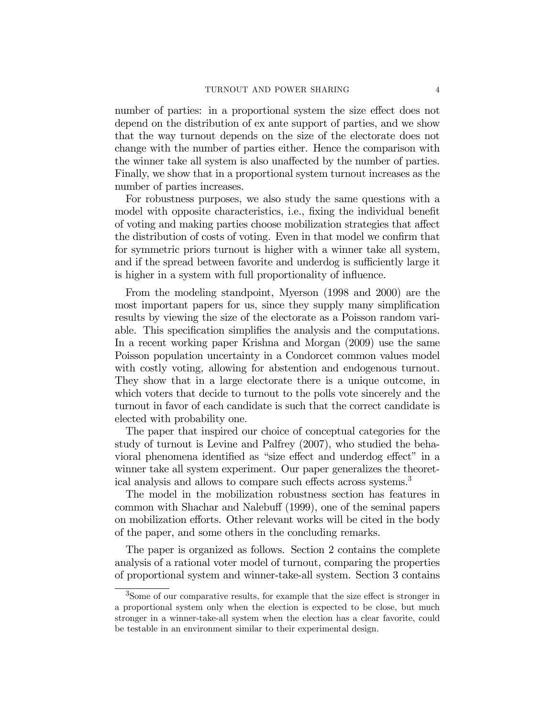number of parties: in a proportional system the size effect does not depend on the distribution of ex ante support of parties, and we show that the way turnout depends on the size of the electorate does not change with the number of parties either. Hence the comparison with the winner take all system is also unaffected by the number of parties. Finally, we show that in a proportional system turnout increases as the number of parties increases.

For robustness purposes, we also study the same questions with a model with opposite characteristics, i.e., fixing the individual benefit of voting and making parties choose mobilization strategies that affect the distribution of costs of voting. Even in that model we confirm that for symmetric priors turnout is higher with a winner take all system, and if the spread between favorite and underdog is sufficiently large it is higher in a system with full proportionality of influence.

From the modeling standpoint, Myerson (1998 and 2000) are the most important papers for us, since they supply many simplification results by viewing the size of the electorate as a Poisson random variable. This specification simplifies the analysis and the computations. In a recent working paper Krishna and Morgan (2009) use the same Poisson population uncertainty in a Condorcet common values model with costly voting, allowing for abstention and endogenous turnout. They show that in a large electorate there is a unique outcome, in which voters that decide to turnout to the polls vote sincerely and the turnout in favor of each candidate is such that the correct candidate is elected with probability one.

The paper that inspired our choice of conceptual categories for the study of turnout is Levine and Palfrey (2007), who studied the behavioral phenomena identified as "size effect and underdog effect" in a winner take all system experiment. Our paper generalizes the theoretical analysis and allows to compare such effects across systems.<sup>3</sup>

The model in the mobilization robustness section has features in common with Shachar and Nalebuff (1999), one of the seminal papers on mobilization efforts. Other relevant works will be cited in the body of the paper, and some others in the concluding remarks.

The paper is organized as follows. Section 2 contains the complete analysis of a rational voter model of turnout, comparing the properties of proportional system and winner-take-all system. Section 3 contains

<sup>3</sup>Some of our comparative results, for example that the size effect is stronger in a proportional system only when the election is expected to be close, but much stronger in a winner-take-all system when the election has a clear favorite, could be testable in an environment similar to their experimental design.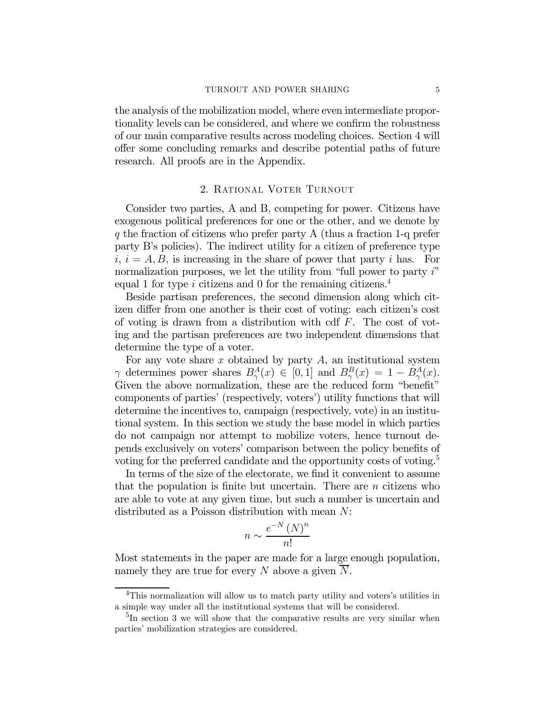the analysis of the mobilization model, where even intermediate proportionality levels can be considered, and where we confirm the robustness of our main comparative results across modeling choices. Section 4 will offer some concluding remarks and describe potential paths of future research. All proofs are in the Appendix.

## 2. Rational Voter Turnout

Consider two parties, A and B, competing for power. Citizens have exogenous political preferences for one or the other, and we denote by  $q$  the fraction of citizens who prefer party A (thus a fraction 1-q prefer party B's policies). The indirect utility for a citizen of preference type  $i, i = A, B$ , is increasing in the share of power that party i has. For normalization purposes, we let the utility from "full power to party i" equal 1 for type i citizens and 0 for the remaining citizens.<sup>4</sup>

Beside partisan preferences, the second dimension along which citizen differ from one another is their cost of voting: each citizen's cost of voting is drawn from a distribution with cdf  $F$ . The cost of voting and the partisan preferences are two independent dimensions that determine the type of a voter.

For any vote share  $x$  obtained by party  $A$ , an institutional system  $\gamma$  determines power shares  $B^A_\gamma(x) \in [0,1]$  and  $B^B_\gamma(x) = 1 - B^A_\gamma(x)$ . Given the above normalization, these are the reduced form "benefit" components of parties' (respectively, voters') utility functions that will determine the incentives to, campaign (respectively, vote) in an institutional system. In this section we study the base model in which parties do not campaign nor attempt to mobilize voters, hence turnout depends exclusively on voters' comparison between the policy benefits of voting for the preferred candidate and the opportunity costs of voting.<sup>5</sup>

In terms of the size of the electorate, we find it convenient to assume that the population is finite but uncertain. There are  $n$  citizens who are able to vote at any given time, but such a number is uncertain and distributed as a Poisson distribution with mean N:

$$
n \sim \frac{e^{-N} \left( N \right)^n}{n!}
$$

Most statements in the paper are made for a large enough population, namely they are true for every N above a given N.

<sup>&</sup>lt;sup>4</sup>This normalization will allow us to match party utility and voters's utilities in a simple way under all the institutional systems that will be considered.

 ${}^{5}$ In section 3 we will show that the comparative results are very similar when parties' mobilization strategies are considered.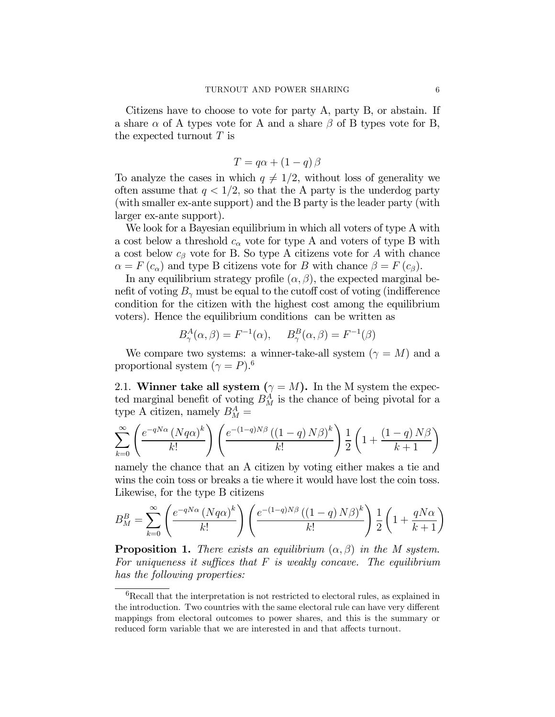Citizens have to choose to vote for party A, party B, or abstain. If a share  $\alpha$  of A types vote for A and a share  $\beta$  of B types vote for B, the expected turnout  $T$  is

$$
T = q\alpha + (1 - q)\beta
$$

To analyze the cases in which  $q \neq 1/2$ , without loss of generality we often assume that  $q < 1/2$ , so that the A party is the underdog party (with smaller ex-ante support) and the B party is the leader party (with larger ex-ante support).

We look for a Bayesian equilibrium in which all voters of type A with a cost below a threshold  $c_{\alpha}$  vote for type A and voters of type B with a cost below  $c_{\beta}$  vote for B. So type A citizens vote for A with chance  $\alpha = F(c_{\alpha})$  and type B citizens vote for B with chance  $\beta = F(c_{\beta})$ .

In any equilibrium strategy profile  $(\alpha, \beta)$ , the expected marginal benefit of voting  $B_{\gamma}$  must be equal to the cutoff cost of voting (indifference condition for the citizen with the highest cost among the equilibrium voters). Hence the equilibrium conditions can be written as

$$
B^A_\gamma(\alpha, \beta) = F^{-1}(\alpha), \quad B^B_\gamma(\alpha, \beta) = F^{-1}(\beta)
$$

We compare two systems: a winner-take-all system  $(\gamma = M)$  and a proportional system  $(\gamma = P)^6$ .

2.1. Winner take all system  $(\gamma = M)$ . In the M system the expected marginal benefit of voting  $B_M^A$  is the chance of being pivotal for a type A citizen, namely  $B_M^A =$ 

$$
\sum_{k=0}^{\infty} \left( \frac{e^{-qN\alpha} \left( Nq\alpha \right)^k}{k!} \right) \left( \frac{e^{-(1-q)N\beta} \left( (1-q) N\beta \right)^k}{k!} \right) \frac{1}{2} \left( 1 + \frac{(1-q) N\beta}{k+1} \right)
$$

namely the chance that an A citizen by voting either makes a tie and wins the coin toss or breaks a tie where it would have lost the coin toss. Likewise, for the type B citizens

$$
B_M^B = \sum_{k=0}^{\infty} \left( \frac{e^{-qN\alpha} \left( Nq\alpha \right)^k}{k!} \right) \left( \frac{e^{-(1-q)N\beta} \left( (1-q) N\beta \right)^k}{k!} \right) \frac{1}{2} \left( 1 + \frac{qN\alpha}{k+1} \right)
$$

**Proposition 1.** There exists an equilibrium  $(\alpha, \beta)$  in the M system. For uniqueness it suffices that  $F$  is weakly concave. The equilibrium has the following properties:

 ${}^{6}$ Recall that the interpretation is not restricted to electoral rules, as explained in the introduction. Two countries with the same electoral rule can have very different mappings from electoral outcomes to power shares, and this is the summary or reduced form variable that we are interested in and that affects turnout.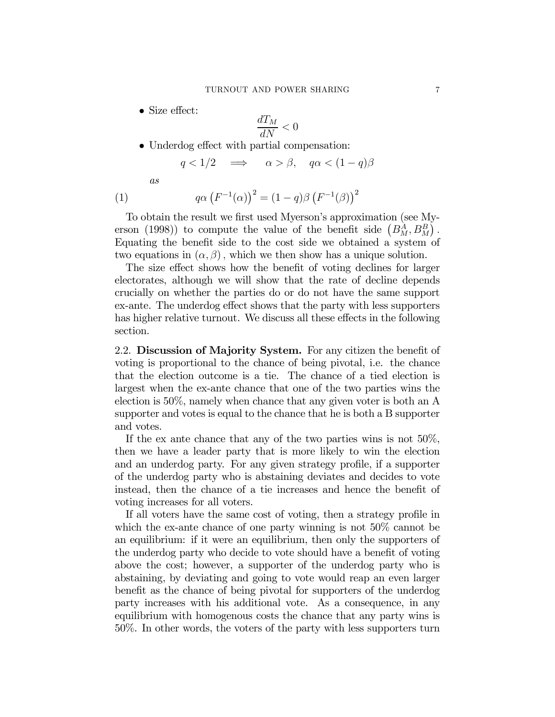• Size effect:

$$
\frac{dT_M}{dN} < 0
$$

• Underdog effect with partial compensation:

$$
q < 1/2 \quad \Longrightarrow \quad \alpha > \beta, \quad q\alpha < (1 - q)\beta
$$

as

(1) 
$$
q\alpha \left(F^{-1}(\alpha)\right)^2 = (1-q)\beta \left(F^{-1}(\beta)\right)^2
$$

To obtain the result we first used Myerson's approximation (see Myerson (1998)) to compute the value of the benefit side  $(B_M^A, B_M^B)$ . Equating the benefit side to the cost side we obtained a system of two equations in  $(\alpha, \beta)$ , which we then show has a unique solution.

The size effect shows how the benefit of voting declines for larger electorates, although we will show that the rate of decline depends crucially on whether the parties do or do not have the same support ex-ante. The underdog effect shows that the party with less supporters has higher relative turnout. We discuss all these effects in the following section.

2.2. Discussion of Majority System. For any citizen the benefit of voting is proportional to the chance of being pivotal, i.e. the chance that the election outcome is a tie. The chance of a tied election is largest when the ex-ante chance that one of the two parties wins the election is 50%, namely when chance that any given voter is both an A supporter and votes is equal to the chance that he is both a B supporter and votes.

If the ex ante chance that any of the two parties wins is not 50%, then we have a leader party that is more likely to win the election and an underdog party. For any given strategy profile, if a supporter of the underdog party who is abstaining deviates and decides to vote instead, then the chance of a tie increases and hence the benefit of voting increases for all voters.

If all voters have the same cost of voting, then a strategy profile in which the ex-ante chance of one party winning is not 50% cannot be an equilibrium: if it were an equilibrium, then only the supporters of the underdog party who decide to vote should have a benefit of voting above the cost; however, a supporter of the underdog party who is abstaining, by deviating and going to vote would reap an even larger benefit as the chance of being pivotal for supporters of the underdog party increases with his additional vote. As a consequence, in any equilibrium with homogenous costs the chance that any party wins is 50%. In other words, the voters of the party with less supporters turn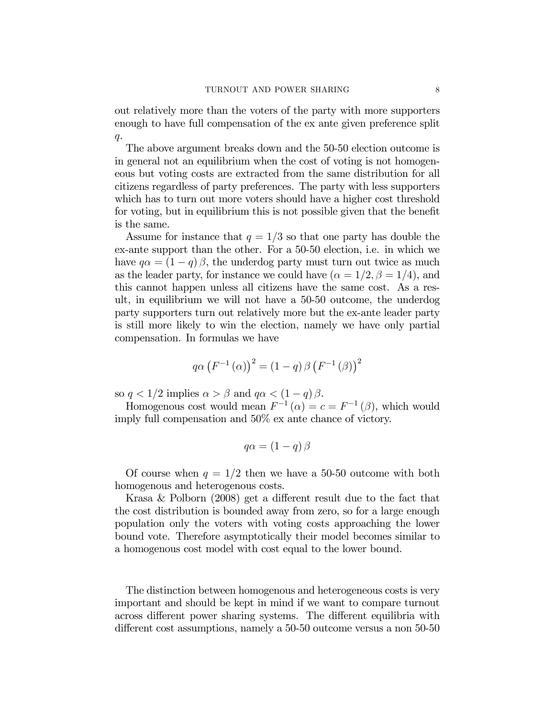out relatively more than the voters of the party with more supporters enough to have full compensation of the ex ante given preference split  $q$ .

The above argument breaks down and the 50-50 election outcome is in general not an equilibrium when the cost of voting is not homogeneous but voting costs are extracted from the same distribution for all citizens regardless of party preferences. The party with less supporters which has to turn out more voters should have a higher cost threshold for voting, but in equilibrium this is not possible given that the benefit is the same.

Assume for instance that  $q = 1/3$  so that one party has double the ex-ante support than the other. For a 50-50 election, i.e. in which we have  $q\alpha = (1 - q)\beta$ , the underdog party must turn out twice as much as the leader party, for instance we could have  $(\alpha = 1/2, \beta = 1/4)$ , and this cannot happen unless all citizens have the same cost. As a result, in equilibrium we will not have a 50-50 outcome, the underdog party supporters turn out relatively more but the ex-ante leader party is still more likely to win the election, namely we have only partial compensation. In formulas we have

$$
q\alpha \left(F^{-1}\left(\alpha\right)\right)^{2} = \left(1-q\right)\beta \left(F^{-1}\left(\beta\right)\right)^{2}
$$

so  $q < 1/2$  implies  $\alpha > \beta$  and  $q\alpha < (1 - q)\beta$ .

Homogenous cost would mean  $F^{-1}(\alpha) = c = F^{-1}(\beta)$ , which would imply full compensation and 50% ex ante chance of victory.

$$
q\alpha = (1-q)\beta
$$

Of course when  $q = 1/2$  then we have a 50-50 outcome with both homogenous and heterogenous costs.

Krasa & Polborn (2008) get a different result due to the fact that the cost distribution is bounded away from zero, so for a large enough population only the voters with voting costs approaching the lower bound vote. Therefore asymptotically their model becomes similar to a homogenous cost model with cost equal to the lower bound.

The distinction between homogenous and heterogeneous costs is very important and should be kept in mind if we want to compare turnout across different power sharing systems. The different equilibria with different cost assumptions, namely a 50-50 outcome versus a non 50-50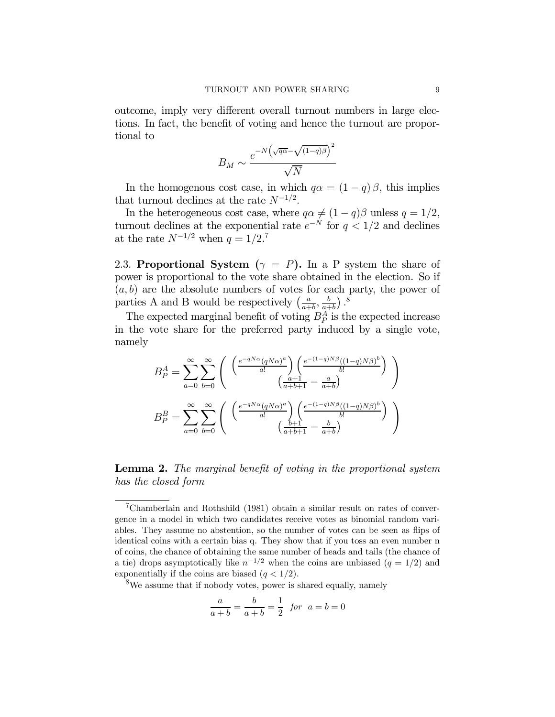outcome, imply very different overall turnout numbers in large elections. In fact, the benefit of voting and hence the turnout are proportional to

$$
B_M \sim \frac{e^{-N(\sqrt{q\alpha} - \sqrt{(1-q)\beta})^2}}{\sqrt{N}}
$$

In the homogenous cost case, in which  $q\alpha = (1 - q)\beta$ , this implies that turnout declines at the rate  $N^{-1/2}$ .

In the heterogeneous cost case, where  $q\alpha \neq (1 - q)\beta$  unless  $q = 1/2$ , turnout declines at the exponential rate  $e^{-N}$  for  $q < 1/2$  and declines at the rate  $N^{-1/2}$  when  $q = 1/2$ .<sup>7</sup>

2.3. Proportional System ( $\gamma = P$ ). In a P system the share of power is proportional to the vote share obtained in the election. So if  $(a, b)$  are the absolute numbers of votes for each party, the power of parties A and B would be respectively  $\left(\frac{a}{a+b}, \frac{b}{a+b}\right)$ .<sup>8</sup>

The expected marginal benefit of voting  $B_P^A$  is the expected increase in the vote share for the preferred party induced by a single vote, namely

$$
B_P^A = \sum_{a=0}^{\infty} \sum_{b=0}^{\infty} \left( \begin{array}{c} \left( \frac{e^{-qN\alpha} (qN\alpha)^a}{a!} \right) \left( \frac{e^{-(1-q)N\beta} ((1-q)N\beta)^b}{b!} \right) \\ \left( \frac{a+1}{a+b+1} - \frac{a}{a+b} \right) \end{array} \right)
$$

$$
B_P^B = \sum_{a=0}^{\infty} \sum_{b=0}^{\infty} \left( \begin{array}{c} \left( \frac{e^{-qN\alpha} (qN\alpha)^a}{a!} \right) \left( \frac{e^{-(1-q)N\beta} ((1-q)N\beta)^b}{b!} \right) \\ \left( \frac{b+1}{a+b+1} - \frac{b}{a+b} \right) \end{array} \right)
$$

## Lemma 2. The marginal benefit of voting in the proportional system has the closed form

8We assume that if nobody votes, power is shared equally, namely

$$
\frac{a}{a+b} = \frac{b}{a+b} = \frac{1}{2} \text{ for } a = b = 0
$$

<sup>7</sup>Chamberlain and Rothshild (1981) obtain a similar result on rates of convergence in a model in which two candidates receive votes as binomial random variables. They assume no abstention, so the number of votes can be seen as flips of identical coins with a certain bias q. They show that if you toss an even number n of coins, the chance of obtaining the same number of heads and tails (the chance of a tie) drops asymptotically like  $n^{-1/2}$  when the coins are unbiased  $(q = 1/2)$  and exponentially if the coins are biased  $(q < 1/2)$ .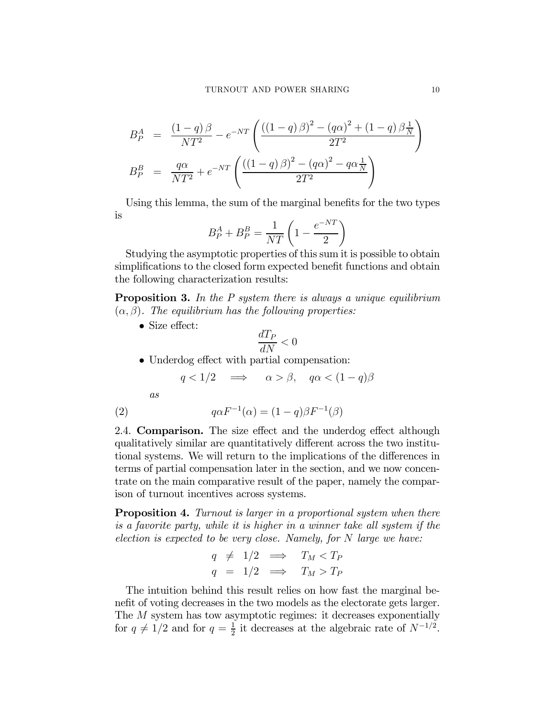$$
B_P^A = \frac{(1-q)\beta}{NT^2} - e^{-NT} \left( \frac{((1-q)\beta)^2 - (q\alpha)^2 + (1-q)\beta \frac{1}{N}}{2T^2} \right)
$$
  

$$
B_P^B = \frac{q\alpha}{NT^2} + e^{-NT} \left( \frac{((1-q)\beta)^2 - (q\alpha)^2 - q\alpha \frac{1}{N}}{2T^2} \right)
$$

Using this lemma, the sum of the marginal benefits for the two types is

$$
B_P^A + B_P^B = \frac{1}{NT} \left( 1 - \frac{e^{-NT}}{2} \right)
$$

Studying the asymptotic properties of this sum it is possible to obtain simplifications to the closed form expected benefit functions and obtain the following characterization results:

**Proposition 3.** In the P system there is always a unique equilibrium  $(\alpha, \beta)$ . The equilibrium has the following properties:

• Size effect:

$$
\frac{dT_P}{dN} < 0
$$

• Underdog effect with partial compensation:

 $q < 1/2 \implies \alpha > \beta, \quad q\alpha < (1-q)\beta$ 

as

(2) 
$$
q\alpha F^{-1}(\alpha) = (1-q)\beta F^{-1}(\beta)
$$

2.4. Comparison. The size effect and the underdog effect although qualitatively similar are quantitatively different across the two institutional systems. We will return to the implications of the differences in terms of partial compensation later in the section, and we now concentrate on the main comparative result of the paper, namely the comparison of turnout incentives across systems.

**Proposition 4.** Turnout is larger in a proportional system when there is a favorite party, while it is higher in a winner take all system if the election is expected to be very close. Namely, for  $N$  large we have:

$$
q \neq 1/2 \implies T_M < T_P
$$
\n
$$
q = 1/2 \implies T_M > T_P
$$

The intuition behind this result relies on how fast the marginal benefit of voting decreases in the two models as the electorate gets larger. The M system has tow asymptotic regimes: it decreases exponentially for  $q \neq 1/2$  and for  $q = \frac{1}{2}$  it decreases at the algebraic rate of  $N^{-1/2}$ .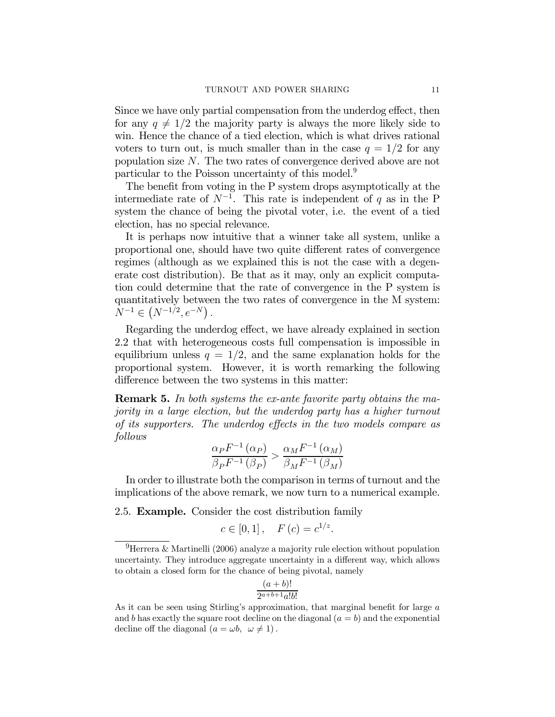Since we have only partial compensation from the underdog effect, then for any  $q \neq 1/2$  the majority party is always the more likely side to win. Hence the chance of a tied election, which is what drives rational voters to turn out, is much smaller than in the case  $q = 1/2$  for any population size N. The two rates of convergence derived above are not particular to the Poisson uncertainty of this model.9

The benefit from voting in the P system drops asymptotically at the intermediate rate of  $N^{-1}$ . This rate is independent of q as in the P system the chance of being the pivotal voter, i.e. the event of a tied election, has no special relevance.

It is perhaps now intuitive that a winner take all system, unlike a proportional one, should have two quite different rates of convergence regimes (although as we explained this is not the case with a degenerate cost distribution). Be that as it may, only an explicit computation could determine that the rate of convergence in the P system is quantitatively between the two rates of convergence in the M system:  $N^{-1} \in (N^{-1/2}, e^{-N}).$ 

Regarding the underdog effect, we have already explained in section 2.2 that with heterogeneous costs full compensation is impossible in equilibrium unless  $q = 1/2$ , and the same explanation holds for the proportional system. However, it is worth remarking the following difference between the two systems in this matter:

**Remark 5.** In both systems the ex-ante favorite party obtains the majority in a large election, but the underdog party has a higher turnout of its supporters. The underdog effects in the two models compare as follows

$$
\frac{\alpha_P F^{-1}(\alpha_P)}{\beta_P F^{-1}(\beta_P)} > \frac{\alpha_M F^{-1}(\alpha_M)}{\beta_M F^{-1}(\beta_M)}
$$

In order to illustrate both the comparison in terms of turnout and the implications of the above remark, we now turn to a numerical example.

2.5. Example. Consider the cost distribution family

$$
c \in [0, 1], \quad F(c) = c^{1/z}.
$$

$$
\frac{(a+b)!}{2^{a+b+1}a!b!}
$$

<sup>&</sup>lt;sup>9</sup>Herrera & Martinelli (2006) analyze a majority rule election without population uncertainty. They introduce aggregate uncertainty in a different way, which allows to obtain a closed form for the chance of being pivotal, namely

As it can be seen using Stirling's approximation, that marginal benefit for large a and b has exactly the square root decline on the diagonal  $(a = b)$  and the exponential decline off the diagonal  $(a = \omega b, \ \omega \neq 1)$ .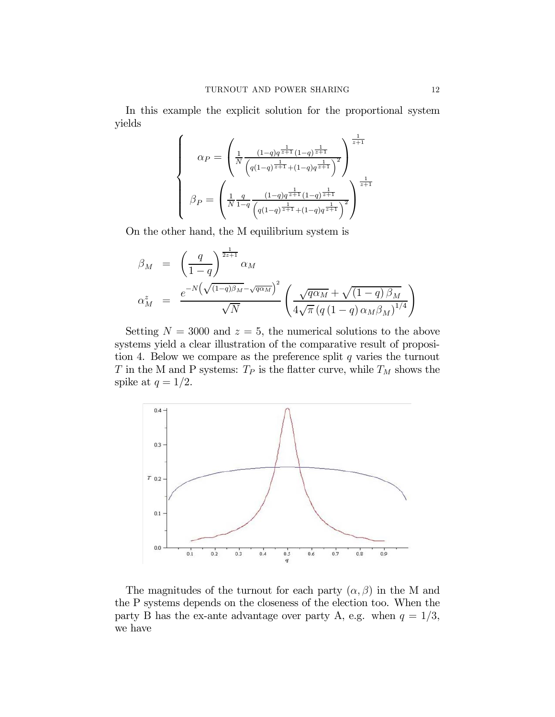In this example the explicit solution for the proportional system yields

$$
\beta_P = \begin{pmatrix} \frac{1}{N} \frac{(1-q)q^{\frac{1}{z+1}}(1-q)^{\frac{1}{z+1}}}{(q(1-q)^{\frac{1}{z+1}}+(1-q)q^{\frac{1}{z+1}})} \\ \beta_P = \left( \frac{1}{N} \frac{q}{1-q} \frac{(1-q)q^{\frac{1}{z+1}}(1-q)^{\frac{1}{z+1}}}{(q(1-q)^{\frac{1}{z+1}}+(1-q)q^{\frac{1}{z+1}})} \right)^{\frac{1}{z+1}} \end{pmatrix}
$$

On the other hand, the M equilibrium system is

$$
\beta_M = \left(\frac{q}{1-q}\right)^{\frac{1}{2z+1}} \alpha_M
$$
\n
$$
\alpha_M^z = \frac{e^{-N\left(\sqrt{(1-q)\beta_M} - \sqrt{q\alpha_M}\right)^2}}{\sqrt{N}} \left(\frac{\sqrt{q\alpha_M} + \sqrt{(1-q)\beta_M}}{4\sqrt{\pi} \left(q\left(1-q\right)\alpha_M\beta_M\right)^{1/4}}\right)
$$

Setting  $N = 3000$  and  $z = 5$ , the numerical solutions to the above systems yield a clear illustration of the comparative result of proposition 4. Below we compare as the preference split  $q$  varies the turnout T in the M and P systems:  $T_P$  is the flatter curve, while  $T_M$  shows the spike at  $q = 1/2$ .



The magnitudes of the turnout for each party  $(\alpha, \beta)$  in the M and the P systems depends on the closeness of the election too. When the party B has the ex-ante advantage over party A, e.g. when  $q = 1/3$ , we have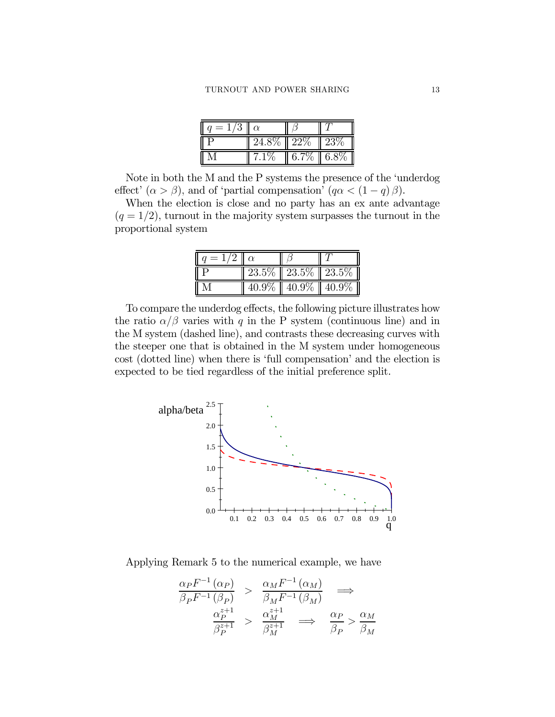| $=1/3$ | $\mathsf{I}\hspace{-1.6pt}\mathsf{I}\hspace{-1.6pt}\mathsf{I}\hspace{-1.6pt}\alpha$ |               |                  |
|--------|-------------------------------------------------------------------------------------|---------------|------------------|
|        | $24.8\% \parallel 22\%$                                                             |               | $\parallel 23\%$ |
|        | 7.1%                                                                                | 6.7\%   6.8\% |                  |

Note in both the M and the P systems the presence of the 'underdog effect'  $(\alpha > \beta)$ , and of 'partial compensation'  $(q\alpha < (1 - q)\beta)$ .

When the election is close and no party has an ex ante advantage  $(q = 1/2)$ , turnout in the majority system surpasses the turnout in the proportional system

| $u = 1/2 \parallel \alpha$ |                                |  |
|----------------------------|--------------------------------|--|
|                            | 23.5\% 23.5\% 23.5\%           |  |
|                            | $40.9\%$   $40.9\%$   $40.9\%$ |  |

To compare the underdog effects, the following picture illustrates how the ratio  $\alpha/\beta$  varies with q in the P system (continuous line) and in the M system (dashed line), and contrasts these decreasing curves with the steeper one that is obtained in the M system under homogeneous cost (dotted line) when there is 'full compensation' and the election is expected to be tied regardless of the initial preference split.



Applying Remark 5 to the numerical example, we have

$$
\frac{\alpha_P F^{-1}(\alpha_P)}{\beta_P F^{-1}(\beta_P)} > \frac{\alpha_M F^{-1}(\alpha_M)}{\beta_M F^{-1}(\beta_M)} \implies
$$
\n
$$
\frac{\alpha_P^{z+1}}{\beta_P^{z+1}} > \frac{\alpha_M^{z+1}}{\beta_M^{z+1}} \implies \frac{\alpha_P}{\beta_P} > \frac{\alpha_M}{\beta_M}
$$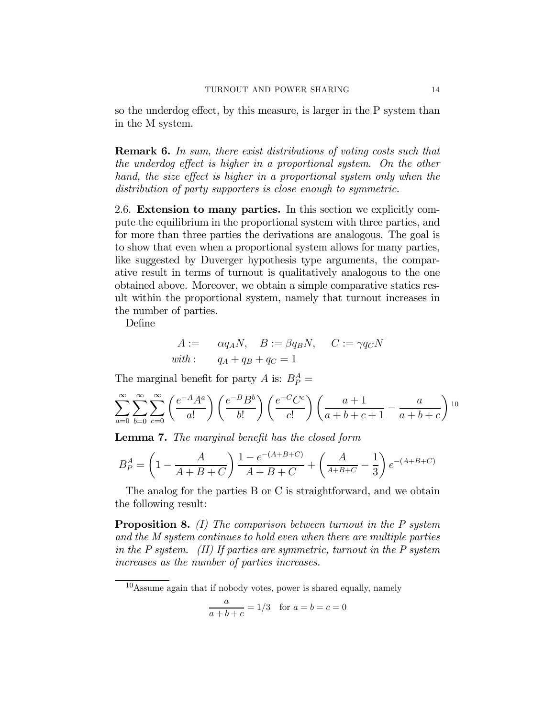so the underdog effect, by this measure, is larger in the P system than in the M system.

Remark 6. In sum, there exist distributions of voting costs such that the underdog effect is higher in a proportional system. On the other hand, the size effect is higher in a proportional system only when the distribution of party supporters is close enough to symmetric.

2.6. Extension to many parties. In this section we explicitly compute the equilibrium in the proportional system with three parties, and for more than three parties the derivations are analogous. The goal is to show that even when a proportional system allows for many parties, like suggested by Duverger hypothesis type arguments, the comparative result in terms of turnout is qualitatively analogous to the one obtained above. Moreover, we obtain a simple comparative statics result within the proportional system, namely that turnout increases in the number of parties.

Define

$$
A := \alpha q_A N, \quad B := \beta q_B N, \quad C := \gamma q_C N
$$
  
with: 
$$
q_A + q_B + q_C = 1
$$

The marginal benefit for party A is:  $B_P^A$  =

$$
\sum_{a=0}^{\infty} \sum_{b=0}^{\infty} \sum_{c=0}^{\infty} \left( \frac{e^{-A}A^a}{a!} \right) \left( \frac{e^{-B}B^b}{b!} \right) \left( \frac{e^{-C}C^c}{c!} \right) \left( \frac{a+1}{a+b+c+1} - \frac{a}{a+b+c} \right)^{10}
$$

Lemma 7. The marginal benefit has the closed form

$$
B_P^A = \left(1 - \frac{A}{A + B + C}\right) \frac{1 - e^{-(A + B + C)}}{A + B + C} + \left(\frac{A}{A + B + C} - \frac{1}{3}\right) e^{-(A + B + C)}
$$

The analog for the parties B or C is straightforward, and we obtain the following result:

**Proposition 8.** (I) The comparison between turnout in the P system and the M system continues to hold even when there are multiple parties in the  $P$  system. (II) If parties are symmetric, turnout in the  $P$  system increases as the number of parties increases.

 $10$ Assume again that if nobody votes, power is shared equally, namely

$$
\frac{a}{a+b+c} = 1/3 \text{ for } a=b=c=0
$$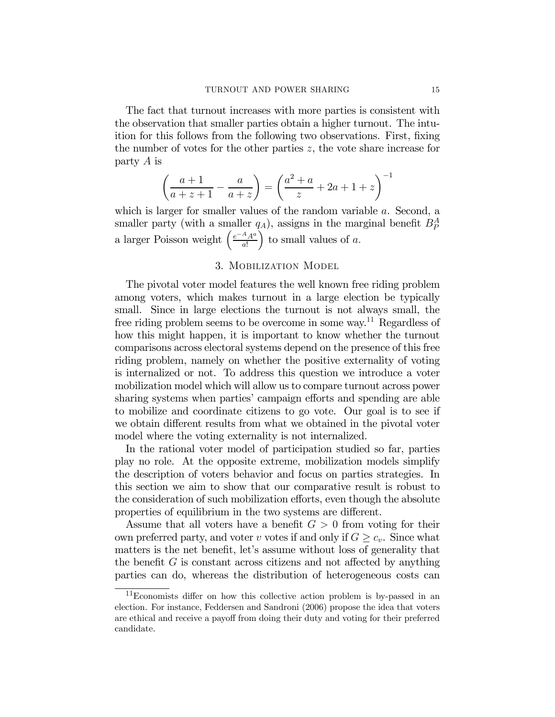The fact that turnout increases with more parties is consistent with the observation that smaller parties obtain a higher turnout. The intuition for this follows from the following two observations. First, fixing the number of votes for the other parties  $z$ , the vote share increase for party A is

$$
\left(\frac{a+1}{a+z+1} - \frac{a}{a+z}\right) = \left(\frac{a^2+a}{z} + 2a + 1 + z\right)^{-1}
$$

which is larger for smaller values of the random variable a. Second, a smaller party (with a smaller  $q_A$ ), assigns in the marginal benefit  $B_P^A$ a larger Poisson weight  $\left(\frac{e^{-A}A^a}{a}\right)$ a!  $\int$  to small values of a.

## 3. Mobilization Model

The pivotal voter model features the well known free riding problem among voters, which makes turnout in a large election be typically small. Since in large elections the turnout is not always small, the free riding problem seems to be overcome in some way.11 Regardless of how this might happen, it is important to know whether the turnout comparisons across electoral systems depend on the presence of this free riding problem, namely on whether the positive externality of voting is internalized or not. To address this question we introduce a voter mobilization model which will allow us to compare turnout across power sharing systems when parties' campaign efforts and spending are able to mobilize and coordinate citizens to go vote. Our goal is to see if we obtain different results from what we obtained in the pivotal voter model where the voting externality is not internalized.

In the rational voter model of participation studied so far, parties play no role. At the opposite extreme, mobilization models simplify the description of voters behavior and focus on parties strategies. In this section we aim to show that our comparative result is robust to the consideration of such mobilization efforts, even though the absolute properties of equilibrium in the two systems are different.

Assume that all voters have a benefit  $G > 0$  from voting for their own preferred party, and voter v votes if and only if  $G \geq c_v$ . Since what matters is the net benefit, let's assume without loss of generality that the benefit  $G$  is constant across citizens and not affected by anything parties can do, whereas the distribution of heterogeneous costs can

 $11$ Economists differ on how this collective action problem is by-passed in an election. For instance, Feddersen and Sandroni (2006) propose the idea that voters are ethical and receive a payoff from doing their duty and voting for their preferred candidate.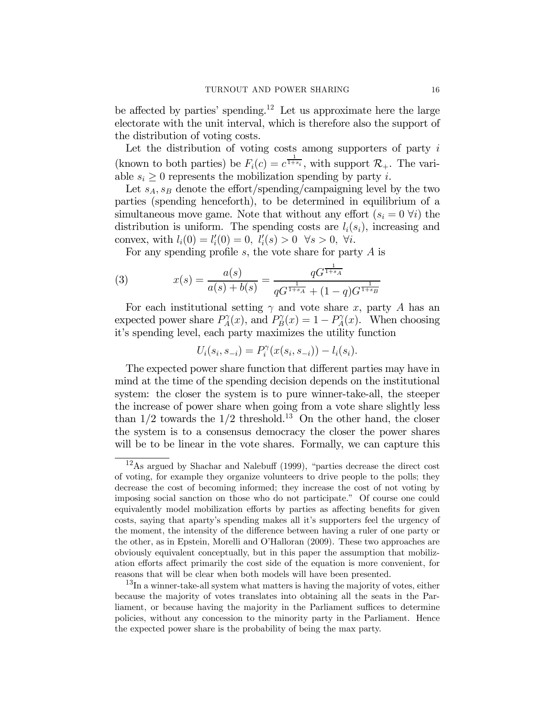be affected by parties' spending.<sup>12</sup> Let us approximate here the large electorate with the unit interval, which is therefore also the support of the distribution of voting costs.

Let the distribution of voting costs among supporters of party  $i$ (known to both parties) be  $F_i(c) = c^{\frac{1}{1+s_i}}$ , with support  $\mathcal{R}_+$ . The variable  $s_i \geq 0$  represents the mobilization spending by party *i*.

Let  $s_A, s_B$  denote the effort/spending/campaigning level by the two parties (spending henceforth), to be determined in equilibrium of a simultaneous move game. Note that without any effort  $(s_i = 0 \forall i)$  the distribution is uniform. The spending costs are  $l_i(s_i)$ , increasing and convex, with  $l_i(0) = l'_i(0) = 0, l'_i(s) > 0 \quad \forall s > 0, \forall i.$ 

For any spending profile s, the vote share for party  $A$  is

(3) 
$$
x(s) = \frac{a(s)}{a(s) + b(s)} = \frac{qG^{\frac{1}{1+s_A}}}{qG^{\frac{1}{1+s_A}} + (1-q)G^{\frac{1}{1+s_B}}}
$$

For each institutional setting  $\gamma$  and vote share x, party A has an expected power share  $P_A^{\gamma}(x)$ , and  $P_B^{\gamma}(x) = 1 - P_A^{\gamma}(x)$ . When choosing it's spending level, each party maximizes the utility function

$$
U_i(s_i, s_{-i}) = P_i^{\gamma}(x(s_i, s_{-i})) - l_i(s_i).
$$

The expected power share function that different parties may have in mind at the time of the spending decision depends on the institutional system: the closer the system is to pure winner-take-all, the steeper the increase of power share when going from a vote share slightly less than  $1/2$  towards the  $1/2$  threshold.<sup>13</sup> On the other hand, the closer the system is to a consensus democracy the closer the power shares will be to be linear in the vote shares. Formally, we can capture this

<sup>12</sup>As argued by Shachar and Nalebuff (1999), "parties decrease the direct cost of voting, for example they organize volunteers to drive people to the polls; they decrease the cost of becoming informed; they increase the cost of not voting by imposing social sanction on those who do not participate." Of course one could equivalently model mobilization efforts by parties as affecting benefits for given costs, saying that aparty's spending makes all it's supporters feel the urgency of the moment, the intensity of the difference between having a ruler of one party or the other, as in Epstein, Morelli and O'Halloran (2009). These two approaches are obviously equivalent conceptually, but in this paper the assumption that mobilization efforts affect primarily the cost side of the equation is more convenient, for reasons that will be clear when both models will have been presented.

<sup>&</sup>lt;sup>13</sup>In a winner-take-all system what matters is having the majority of votes, either because the majority of votes translates into obtaining all the seats in the Parliament, or because having the majority in the Parliament suffices to determine policies, without any concession to the minority party in the Parliament. Hence the expected power share is the probability of being the max party.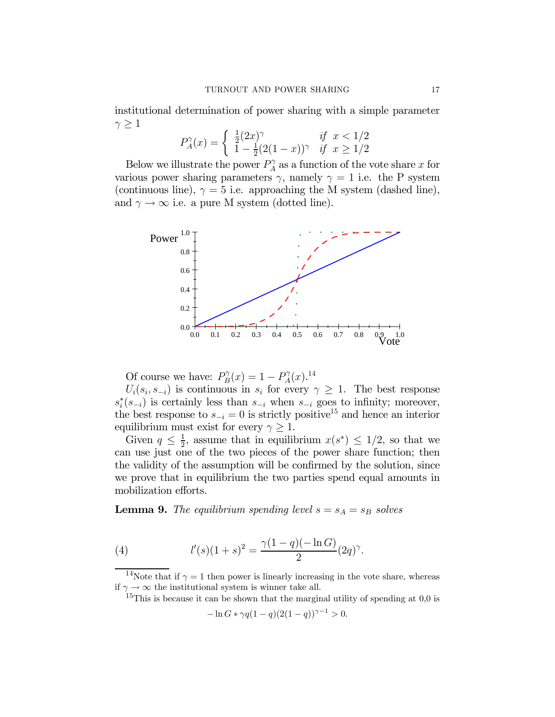institutional determination of power sharing with a simple parameter  $\gamma \geq 1$ 

$$
P_A^{\gamma}(x) = \begin{cases} \frac{1}{2}(2x)^{\gamma} & \text{if } x < 1/2\\ 1 - \frac{1}{2}(2(1-x))^{\gamma} & \text{if } x \ge 1/2 \end{cases}
$$

Below we illustrate the power  $P_A^{\gamma}$  as a function of the vote share x for various power sharing parameters  $\gamma$ , namely  $\gamma = 1$  i.e. the P system (continuous line),  $\gamma = 5$  i.e. approaching the M system (dashed line), and  $\gamma \to \infty$  i.e. a pure M system (dotted line).



Of course we have:  $P_B^{\gamma}(x) = 1 - P_A^{\gamma}(x)$ .<sup>14</sup>

 $U_i(s_i, s_{-i})$  is continuous in  $s_i$  for every  $\gamma \geq 1$ . The best response  $s_i^*(s_{-i})$  is certainly less than  $s_{-i}$  when  $s_{-i}$  goes to infinity; moreover, the best response to  $s_{-i} = 0$  is strictly positive<sup>15</sup> and hence an interior equilibrium must exist for every  $\gamma \geq 1$ .

Given  $q \leq \frac{1}{2}$ , assume that in equilibrium  $x(s^*) \leq 1/2$ , so that we can use just one of the two pieces of the power share function; then the validity of the assumption will be confirmed by the solution, since we prove that in equilibrium the two parties spend equal amounts in mobilization efforts.

**Lemma 9.** The equilibrium spending level  $s = s_A = s_B$  solves

(4) 
$$
l'(s)(1+s)^2 = \frac{\gamma(1-q)(-\ln G)}{2}(2q)^{\gamma}.
$$

<sup>14</sup>Note that if  $\gamma = 1$  then power is linearly increasing in the vote share, whereas if  $\gamma \to \infty$  the institutional system is winner take all.

<sup>15</sup>This is because it can be shown that the marginal utility of spending at 0,0 is

$$
-\ln G * \gamma q (1-q) (2(1-q))^{\gamma -1} > 0.
$$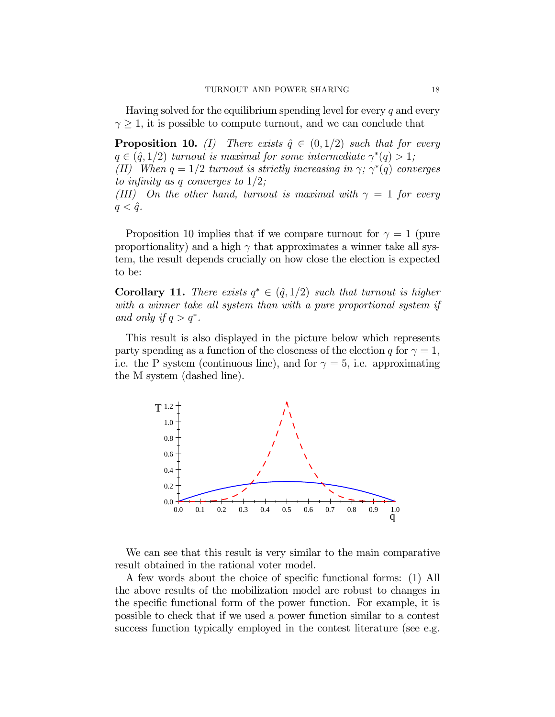Having solved for the equilibrium spending level for every  $q$  and every  $\gamma \geq 1$ , it is possible to compute turnout, and we can conclude that

**Proposition 10.** (I) There exists  $\hat{q} \in (0, 1/2)$  such that for every  $q \in (\hat{q}, 1/2)$  turnout is maximal for some intermediate  $\gamma^*(q) > 1$ ;

(II) When  $q = 1/2$  turnout is strictly increasing in  $\gamma$ ;  $\gamma^*(q)$  converges to infinity as q converges to  $1/2$ ;

(III) On the other hand, turnout is maximal with  $\gamma = 1$  for every  $q < \hat{q}$ .

Proposition 10 implies that if we compare turnout for  $\gamma = 1$  (pure proportionality) and a high  $\gamma$  that approximates a winner take all system, the result depends crucially on how close the election is expected to be:

Corollary 11. There exists  $q^* \in (\hat{q}, 1/2)$  such that turnout is higher with a winner take all system than with a pure proportional system if and only if  $q>q^*$ .

This result is also displayed in the picture below which represents party spending as a function of the closeness of the election q for  $\gamma = 1$ , i.e. the P system (continuous line), and for  $\gamma = 5$ , i.e. approximating the M system (dashed line).



We can see that this result is very similar to the main comparative result obtained in the rational voter model.

A few words about the choice of specific functional forms: (1) All the above results of the mobilization model are robust to changes in the specific functional form of the power function. For example, it is possible to check that if we used a power function similar to a contest success function typically employed in the contest literature (see e.g.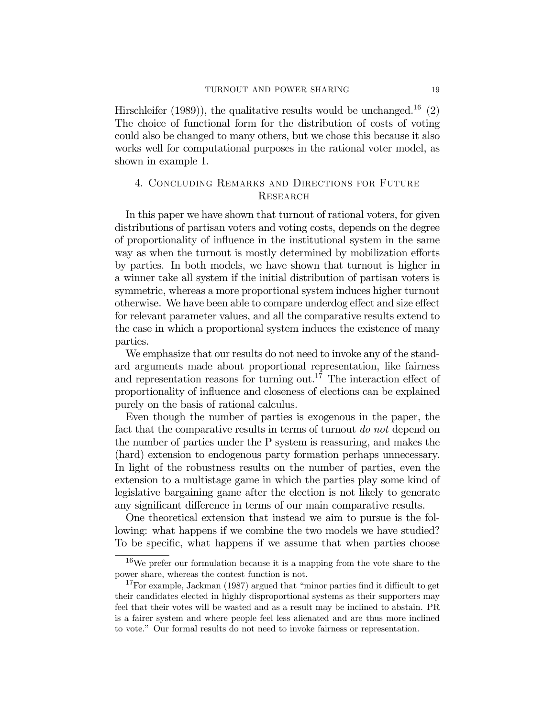Hirschleifer (1989)), the qualitative results would be unchanged.<sup>16</sup> (2) The choice of functional form for the distribution of costs of voting could also be changed to many others, but we chose this because it also works well for computational purposes in the rational voter model, as shown in example 1.

# 4. Concluding Remarks and Directions for Future **RESEARCH**

In this paper we have shown that turnout of rational voters, for given distributions of partisan voters and voting costs, depends on the degree of proportionality of influence in the institutional system in the same way as when the turnout is mostly determined by mobilization efforts by parties. In both models, we have shown that turnout is higher in a winner take all system if the initial distribution of partisan voters is symmetric, whereas a more proportional system induces higher turnout otherwise. We have been able to compare underdog effect and size effect for relevant parameter values, and all the comparative results extend to the case in which a proportional system induces the existence of many parties.

We emphasize that our results do not need to invoke any of the standard arguments made about proportional representation, like fairness and representation reasons for turning out.<sup>17</sup> The interaction effect of proportionality of influence and closeness of elections can be explained purely on the basis of rational calculus.

Even though the number of parties is exogenous in the paper, the fact that the comparative results in terms of turnout do not depend on the number of parties under the P system is reassuring, and makes the (hard) extension to endogenous party formation perhaps unnecessary. In light of the robustness results on the number of parties, even the extension to a multistage game in which the parties play some kind of legislative bargaining game after the election is not likely to generate any significant difference in terms of our main comparative results.

One theoretical extension that instead we aim to pursue is the following: what happens if we combine the two models we have studied? To be specific, what happens if we assume that when parties choose

<sup>16</sup>We prefer our formulation because it is a mapping from the vote share to the power share, whereas the contest function is not.

<sup>&</sup>lt;sup>17</sup>For example, Jackman (1987) argued that "minor parties find it difficult to get their candidates elected in highly disproportional systems as their supporters may feel that their votes will be wasted and as a result may be inclined to abstain. PR is a fairer system and where people feel less alienated and are thus more inclined to vote." Our formal results do not need to invoke fairness or representation.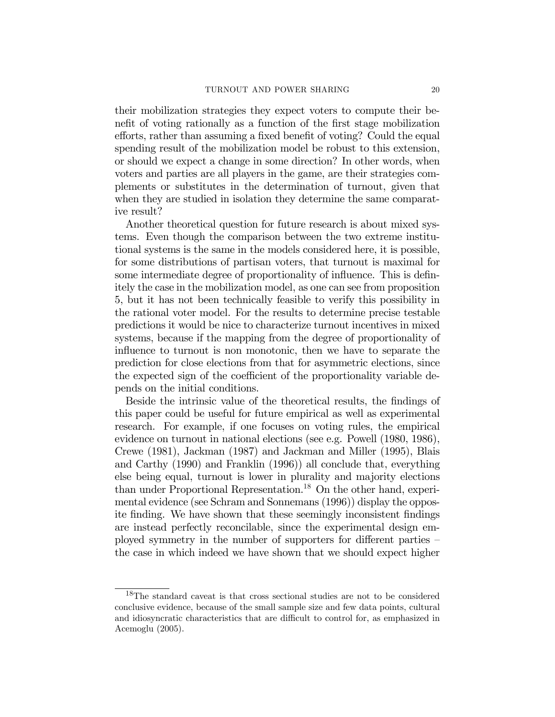their mobilization strategies they expect voters to compute their benefit of voting rationally as a function of the first stage mobilization efforts, rather than assuming a fixed benefit of voting? Could the equal spending result of the mobilization model be robust to this extension, or should we expect a change in some direction? In other words, when voters and parties are all players in the game, are their strategies complements or substitutes in the determination of turnout, given that when they are studied in isolation they determine the same comparative result?

Another theoretical question for future research is about mixed systems. Even though the comparison between the two extreme institutional systems is the same in the models considered here, it is possible, for some distributions of partisan voters, that turnout is maximal for some intermediate degree of proportionality of influence. This is definitely the case in the mobilization model, as one can see from proposition 5, but it has not been technically feasible to verify this possibility in the rational voter model. For the results to determine precise testable predictions it would be nice to characterize turnout incentives in mixed systems, because if the mapping from the degree of proportionality of influence to turnout is non monotonic, then we have to separate the prediction for close elections from that for asymmetric elections, since the expected sign of the coefficient of the proportionality variable depends on the initial conditions.

Beside the intrinsic value of the theoretical results, the findings of this paper could be useful for future empirical as well as experimental research. For example, if one focuses on voting rules, the empirical evidence on turnout in national elections (see e.g. Powell (1980, 1986), Crewe (1981), Jackman (1987) and Jackman and Miller (1995), Blais and Carthy (1990) and Franklin (1996)) all conclude that, everything else being equal, turnout is lower in plurality and majority elections than under Proportional Representation.<sup>18</sup> On the other hand, experimental evidence (see Schram and Sonnemans (1996)) display the opposite finding. We have shown that these seemingly inconsistent findings are instead perfectly reconcilable, since the experimental design employed symmetry in the number of supporters for different parties the case in which indeed we have shown that we should expect higher

<sup>&</sup>lt;sup>18</sup>The standard caveat is that cross sectional studies are not to be considered conclusive evidence, because of the small sample size and few data points, cultural and idiosyncratic characteristics that are difficult to control for, as emphasized in Acemoglu (2005).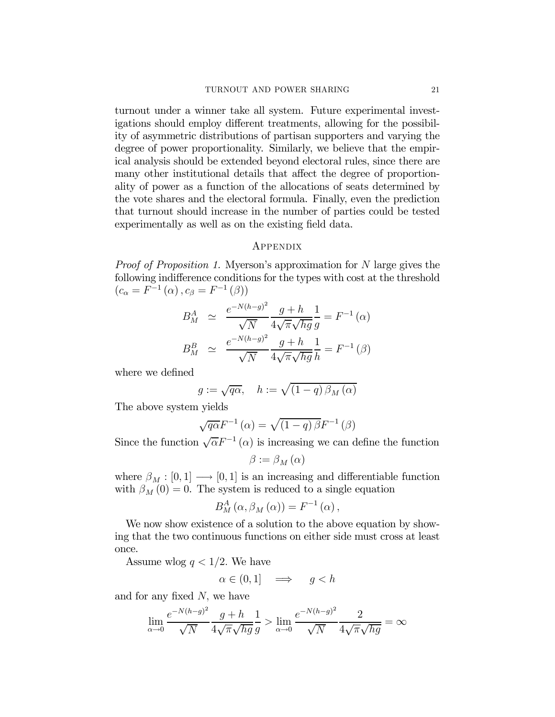turnout under a winner take all system. Future experimental investigations should employ different treatments, allowing for the possibility of asymmetric distributions of partisan supporters and varying the degree of power proportionality. Similarly, we believe that the empirical analysis should be extended beyond electoral rules, since there are many other institutional details that affect the degree of proportionality of power as a function of the allocations of seats determined by the vote shares and the electoral formula. Finally, even the prediction that turnout should increase in the number of parties could be tested experimentally as well as on the existing field data.

### Appendix

*Proof of Proposition 1.* Myerson's approximation for N large gives the following indifference conditions for the types with cost at the threshold  $(c_{\alpha} = F^{-1}(\alpha), c_{\beta} = F^{-1}(\beta))$ 

$$
B_M^A \simeq \frac{e^{-N(h-g)^2}}{\sqrt{N}} \frac{g+h}{4\sqrt{\pi}\sqrt{hg}} \frac{1}{g} = F^{-1}(\alpha)
$$
  

$$
B_M^B \simeq \frac{e^{-N(h-g)^2}}{\sqrt{N}} \frac{g+h}{4\sqrt{\pi}\sqrt{hg}} \frac{1}{h} = F^{-1}(\beta)
$$

where we defined

$$
g := \sqrt{q\alpha}, \quad h := \sqrt{\left(1 - q\right)\beta_M\left(\alpha\right)}
$$

The above system yields

$$
\sqrt{q\alpha}F^{-1}(\alpha) = \sqrt{(1-q)\beta}F^{-1}(\beta)
$$

Since the function  $\sqrt{\alpha}F^{-1}(\alpha)$  is increasing we can define the function

$$
\beta := \beta_M(\alpha)
$$

where  $\beta_M : [0, 1] \longrightarrow [0, 1]$  is an increasing and differentiable function with  $\beta_M(0) = 0$ . The system is reduced to a single equation

$$
B_M^A(\alpha, \beta_M(\alpha)) = F^{-1}(\alpha),
$$

We now show existence of a solution to the above equation by showing that the two continuous functions on either side must cross at least once.

Assume wlog  $q < 1/2$ . We have

$$
\alpha \in (0, 1] \quad \Longrightarrow \quad g < h
$$

and for any fixed  $N$ , we have

$$
\lim_{\alpha \to 0} \frac{e^{-N(h-g)^2}}{\sqrt{N}} \frac{g+h}{4\sqrt{\pi}\sqrt{hg}} \frac{1}{g} > \lim_{\alpha \to 0} \frac{e^{-N(h-g)^2}}{\sqrt{N}} \frac{2}{4\sqrt{\pi}\sqrt{hg}} = \infty
$$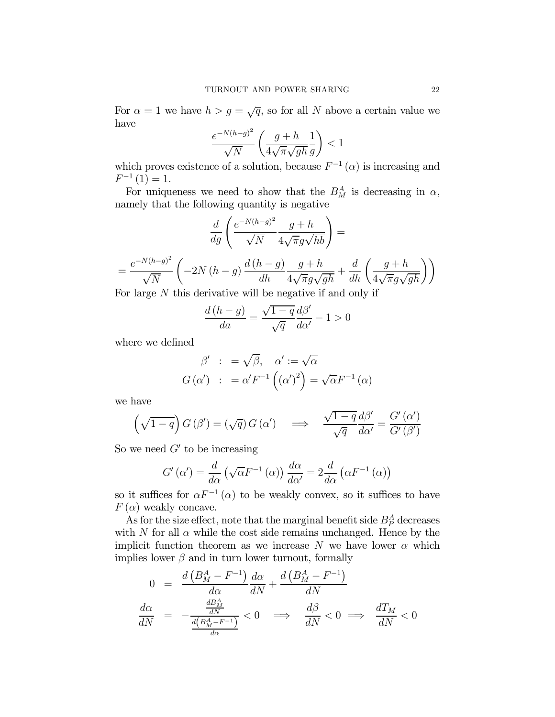For  $\alpha = 1$  we have  $h > g = \sqrt{q}$ , so for all N above a certain value we have

$$
\frac{e^{-N(h-g)^2}}{\sqrt{N}} \left( \frac{g+h}{4\sqrt{\pi}\sqrt{gh}} \frac{1}{g} \right) < 1
$$

which proves existence of a solution, because  $F^{-1}(\alpha)$  is increasing and  $F^{-1}(1) = 1.$ 

For uniqueness we need to show that the  $B_M^A$  is decreasing in  $\alpha$ , namely that the following quantity is negative

$$
\frac{d}{dg} \left( \frac{e^{-N(h-g)^2}}{\sqrt{N}} \frac{g+h}{4\sqrt{\pi}g\sqrt{hb}} \right) =
$$
\n
$$
= \frac{e^{-N(h-g)^2}}{\sqrt{N}} \left( -2N(h-g) \frac{d(h-g)}{dh} \frac{g+h}{4\sqrt{\pi}g\sqrt{gh}} + \frac{d}{dh} \left( \frac{g+h}{4\sqrt{\pi}g\sqrt{gh}} \right) \right)
$$
\nFor large *N* this derivative will be positive if and only if

For large N this derivative will be negative if and only if

$$
\frac{d\left( h - g \right)}{da} = \frac{\sqrt{1 - q}}{\sqrt{q}} \frac{d\beta'}{d\alpha'} - 1 > 0
$$

where we defined

$$
\beta' : = \sqrt{\beta}, \quad \alpha' := \sqrt{\alpha}
$$
  

$$
G(\alpha') : = \alpha' F^{-1} ((\alpha')^2) = \sqrt{\alpha} F^{-1} (\alpha)
$$

we have

$$
\left(\sqrt{1-q}\right)G\left(\beta'\right) = \left(\sqrt{q}\right)G\left(\alpha'\right) \quad \Longrightarrow \quad \frac{\sqrt{1-q}}{\sqrt{q}}\frac{d\beta'}{d\alpha'} = \frac{G'\left(\alpha'\right)}{G'\left(\beta'\right)}
$$

So we need  $G'$  to be increasing

$$
G'(\alpha') = \frac{d}{d\alpha} \left( \sqrt{\alpha} F^{-1}(\alpha) \right) \frac{d\alpha}{d\alpha'} = 2 \frac{d}{d\alpha} \left( \alpha F^{-1}(\alpha) \right)
$$

so it suffices for  $\alpha F^{-1}(\alpha)$  to be weakly convex, so it suffices to have  $F(\alpha)$  weakly concave.

As for the size effect, note that the marginal benefit side  $B_P^A$  decreases with N for all  $\alpha$  while the cost side remains unchanged. Hence by the implicit function theorem as we increase N we have lower  $\alpha$  which implies lower  $\beta$  and in turn lower turnout, formally

$$
0 = \frac{d\left(B_M^A - F^{-1}\right)}{d\alpha} \frac{d\alpha}{dN} + \frac{d\left(B_M^A - F^{-1}\right)}{dN}
$$

$$
\frac{d\alpha}{dN} = -\frac{\frac{dB_M^A}{dN}}{\frac{d\left(B_M^A - F^{-1}\right)}{d\alpha}} < 0 \implies \frac{d\beta}{dN} < 0 \implies \frac{dT_M}{dN} < 0
$$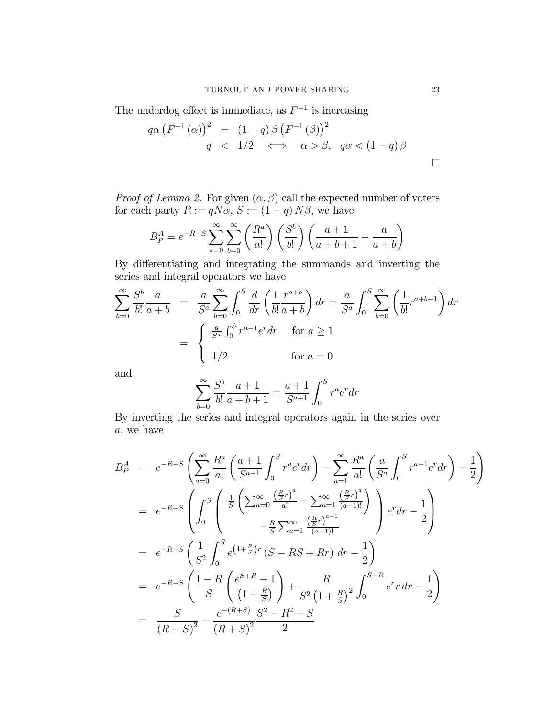The underdog effect is immediate, as  $F^{-1}$  is increasing

$$
q\alpha \left(F^{-1}(\alpha)\right)^2 = (1-q)\beta \left(F^{-1}(\beta)\right)^2
$$
  
 
$$
q < 1/2 \iff \alpha > \beta, \quad q\alpha < (1-q)\beta
$$

*Proof of Lemma 2.* For given  $(\alpha, \beta)$  call the expected number of voters for each party  $R := qN\alpha$ ,  $S := (1 - q)N\beta$ , we have

$$
B_P^A = e^{-R-S} \sum_{a=0}^{\infty} \sum_{b=0}^{\infty} \left( \frac{R^a}{a!} \right) \left( \frac{S^b}{b!} \right) \left( \frac{a+1}{a+b+1} - \frac{a}{a+b} \right)
$$

By differentiating and integrating the summands and inverting the series and integral operators we have

$$
\sum_{b=0}^{\infty} \frac{S^b}{b!} \frac{a}{a+b} = \frac{a}{S^a} \sum_{b=0}^{\infty} \int_0^S \frac{d}{dr} \left( \frac{1}{b!} \frac{r^{a+b}}{a+b} \right) dr = \frac{a}{S^a} \int_0^S \sum_{b=0}^{\infty} \left( \frac{1}{b!} r^{a+b-1} \right) dr
$$

$$
= \begin{cases} \frac{a}{S^a} \int_0^S r^{a-1} e^r dr & \text{for } a \ge 1\\ 1/2 & \text{for } a = 0 \end{cases}
$$

and

$$
\sum_{b=0}^{\infty} \frac{S^b}{b!} \frac{a+1}{a+b+1} = \frac{a+1}{S^{a+1}} \int_0^S r^a e^r dr
$$

By inverting the series and integral operators again in the series over a, we have

$$
B_P^A = e^{-R-S} \left( \sum_{a=0}^{\infty} \frac{R^a}{a!} \left( \frac{a+1}{S^{a+1}} \int_0^S r^a e^r dr \right) - \sum_{a=1}^{\infty} \frac{R^a}{a!} \left( \frac{a}{S^a} \int_0^S r^{a-1} e^r dr \right) - \frac{1}{2} \right)
$$
  
\n
$$
= e^{-R-S} \left( \int_0^S \left( \frac{1}{S} \left( \sum_{a=0}^{\infty} \frac{\left( \frac{R}{S}r \right)^a}{a!} + \sum_{a=1}^{\infty} \frac{\left( \frac{R}{S}r \right)^a}{\left( a-1 \right)!} \right) \right) e^r dr - \frac{1}{2} \right)
$$
  
\n
$$
= e^{-R-S} \left( \frac{1}{S^2} \int_0^S e^{(1+\frac{R}{S})r} (S - RS + Rr) dr - \frac{1}{2} \right)
$$
  
\n
$$
= e^{-R-S} \left( \frac{1-R}{S} \left( \frac{e^{S+R}-1}{\left( 1+\frac{R}{S} \right)} \right) + \frac{R}{S^2 \left( 1+\frac{R}{S} \right)^2} \int_0^{S+R} e^r r dr - \frac{1}{2} \right)
$$
  
\n
$$
= \frac{S}{(R+S)^2} - \frac{e^{-(R+S)}S^2 - R^2 + S}{(R+S)^2}
$$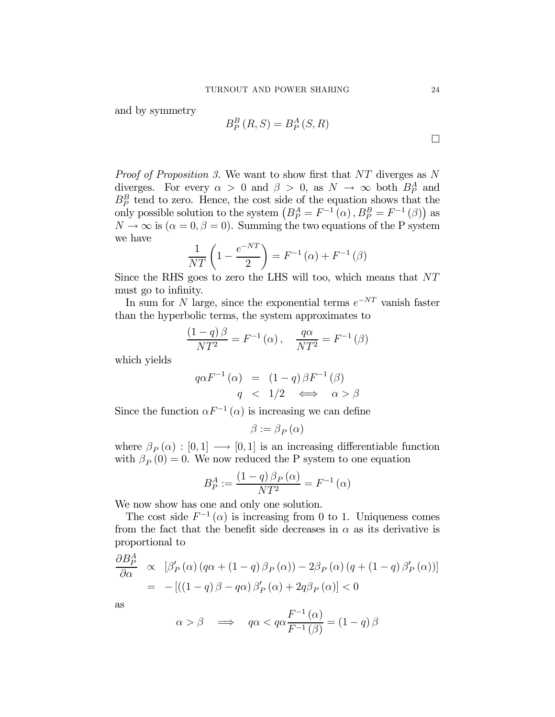and by symmetry

$$
B_P^B(R, S) = B_P^A(S, R)
$$

Proof of Proposition 3. We want to show first that NT diverges as N diverges. For every  $\alpha > 0$  and  $\beta > 0$ , as  $N \to \infty$  both  $B_P^A$  and  $B_P^B$  tend to zero. Hence, the cost side of the equation shows that the only possible solution to the system  $(B_P^A = F^{-1}(\alpha), B_P^B = F^{-1}(\beta)$  as  $N \to \infty$  is  $(\alpha = 0, \beta = 0)$ . Summing the two equations of the P system we have

$$
\frac{1}{NT}\left(1 - \frac{e^{-NT}}{2}\right) = F^{-1}(\alpha) + F^{-1}(\beta)
$$

Since the RHS goes to zero the LHS will too, which means that NT must go to infinity.

In sum for N large, since the exponential terms  $e^{-NT}$  vanish faster than the hyperbolic terms, the system approximates to

$$
\frac{(1-q)\beta}{NT^2} = F^{-1}(\alpha), \quad \frac{q\alpha}{NT^2} = F^{-1}(\beta)
$$

which yields

$$
q\alpha F^{-1}(\alpha) = (1-q)\beta F^{-1}(\beta)
$$
  
 
$$
q < 1/2 \iff \alpha > \beta
$$

Since the function  $\alpha F^{-1}(\alpha)$  is increasing we can define

$$
\beta := \beta_P(\alpha)
$$

where  $\beta_P(\alpha) : [0,1] \longrightarrow [0,1]$  is an increasing differentiable function with  $\beta_P(0) = 0$ . We now reduced the P system to one equation

$$
B_P^A := \frac{(1-q)\,\beta_P\left(\alpha\right)}{NT^2} = F^{-1}\left(\alpha\right)
$$

We now show has one and only one solution.

The cost side  $F^{-1}(\alpha)$  is increasing from 0 to 1. Uniqueness comes from the fact that the benefit side decreases in  $\alpha$  as its derivative is proportional to

$$
\frac{\partial B_P^A}{\partial \alpha} \propto [\beta'_P(\alpha) (q\alpha + (1-q)\beta_P(\alpha)) - 2\beta_P(\alpha) (q + (1-q)\beta'_P(\alpha))]
$$
  
= -[((1-q)\beta - q\alpha)\beta'\_P(\alpha) + 2q\beta\_P(\alpha)] < 0

as

$$
\alpha > \beta \quad \Longrightarrow \quad q\alpha < q\alpha \frac{F^{-1}(\alpha)}{F^{-1}(\beta)} = (1 - q)\beta
$$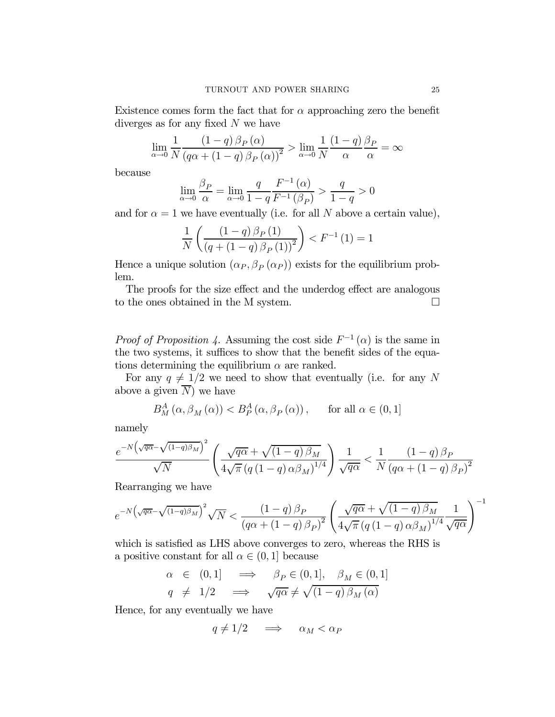Existence comes form the fact that for  $\alpha$  approaching zero the benefit diverges as for any fixed  $N$  we have

$$
\lim_{\alpha \to 0} \frac{1}{N} \frac{(1-q)\beta_P(\alpha)}{(q\alpha + (1-q)\beta_P(\alpha))^2} > \lim_{\alpha \to 0} \frac{1}{N} \frac{(1-q)\beta_P}{\alpha} = \infty
$$

because

$$
\lim_{\alpha \to 0} \frac{\beta_P}{\alpha} = \lim_{\alpha \to 0} \frac{q}{1 - q} \frac{F^{-1}(\alpha)}{F^{-1}(\beta_P)} > \frac{q}{1 - q} > 0
$$

and for  $\alpha = 1$  we have eventually (i.e. for all N above a certain value),

$$
\frac{1}{N} \left( \frac{(1-q)\,\beta_P\,(1)}{(q + (1-q)\,\beta_P\,(1))^2} \right) < F^{-1} \,(1) = 1
$$

Hence a unique solution  $(\alpha_P, \beta_P(\alpha_P))$  exists for the equilibrium problem.

The proofs for the size effect and the underdog effect are analogous to the ones obtained in the M system.  $\Box$ 

*Proof of Proposition 4.* Assuming the cost side  $F^{-1}(\alpha)$  is the same in the two systems, it suffices to show that the benefit sides of the equations determining the equilibrium  $\alpha$  are ranked.

For any  $q \neq 1/2$  we need to show that eventually (i.e. for any N above a given  $\overline{N}$  we have

$$
B_M^A(\alpha, \beta_M(\alpha)) < B_P^A(\alpha, \beta_P(\alpha)), \quad \text{for all } \alpha \in (0, 1]
$$

namely

$$
\frac{e^{-N\left(\sqrt{q\alpha}-\sqrt{\left(1-q\right)\beta_{M}}\right)^{2}}}{\sqrt{N}}\left(\frac{\sqrt{q\alpha}+\sqrt{\left(1-q\right)\beta_{M}}}{4\sqrt{\pi}\left(q\left(1-q\right)\alpha\beta_{M}\right)^{1/4}}\right)\frac{1}{\sqrt{q\alpha}}<\frac{1}{N}\frac{\left(1-q\right)\beta_{P}}{\left(q\alpha+\left(1-q\right)\beta_{P}\right)^{2}}
$$

Rearranging we have

$$
e^{-N\left(\sqrt{q\alpha}-\sqrt{(1-q)\beta_M}\right)^2}\sqrt{N} < \frac{\left(1-q\right)\beta_P}{\left(q\alpha+\left(1-q\right)\beta_P\right)^2}\left(\frac{\sqrt{q\alpha}+\sqrt{(1-q)\beta_M}}{4\sqrt{\pi}\left(q\left(1-q\right)\alpha\beta_M\right)^{1/4}}\frac{1}{\sqrt{q\alpha}}\right)^{-1}
$$

which is satisfied as LHS above converges to zero, whereas the RHS is a positive constant for all  $\alpha \in (0,1]$  because

$$
\alpha \in (0,1] \implies \beta_P \in (0,1], \beta_M \in (0,1]
$$
  

$$
q \neq 1/2 \implies \sqrt{q\alpha} \neq \sqrt{(1-q)\beta_M(\alpha)}
$$

Hence, for any eventually we have

$$
q \neq 1/2 \quad \implies \quad \alpha_M < \alpha_P
$$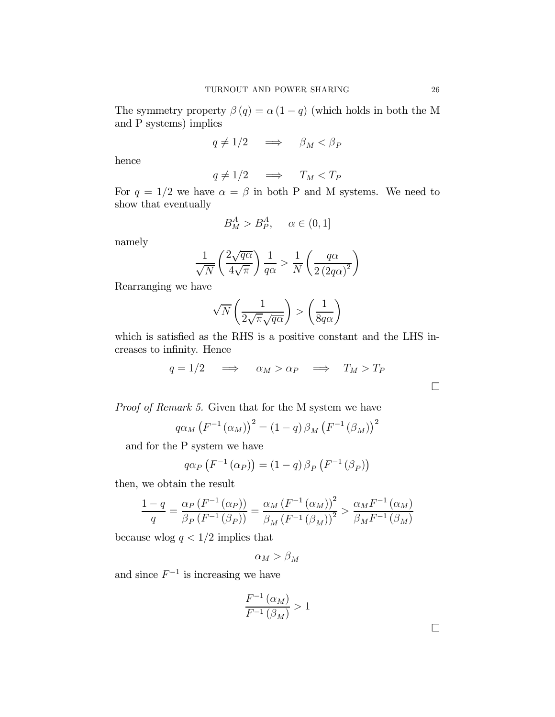The symmetry property  $\beta(q) = \alpha(1-q)$  (which holds in both the M and P systems) implies

$$
q \neq 1/2 \quad \implies \quad \beta_M < \beta_P
$$

hence

$$
q \neq 1/2 \quad \implies \quad T_M < T_P
$$

For  $q = 1/2$  we have  $\alpha = \beta$  in both P and M systems. We need to show that eventually

$$
B_M^A > B_P^A, \quad \alpha \in (0, 1]
$$

namely

$$
\frac{1}{\sqrt{N}} \left( \frac{2\sqrt{q\alpha}}{4\sqrt{\pi}} \right) \frac{1}{q\alpha} > \frac{1}{N} \left( \frac{q\alpha}{2 \left( 2q\alpha \right)^2} \right)
$$

Rearranging we have

$$
\sqrt{N}\left(\frac{1}{2\sqrt{\pi}\sqrt{q\alpha}}\right) > \left(\frac{1}{8q\alpha}\right)
$$

which is satisfied as the RHS is a positive constant and the LHS increases to infinity. Hence

$$
q = 1/2 \quad \implies \quad \alpha_M > \alpha_P \quad \implies \quad T_M > T_P
$$

Proof of Remark 5. Given that for the M system we have

$$
q\alpha_M\left(F^{-1}\left(\alpha_M\right)\right)^2=\left(1-q\right)\beta_M\left(F^{-1}\left(\beta_M\right)\right)^2
$$

and for the P system we have

$$
q\alpha_P\left(F^{-1}\left(\alpha_P\right)\right) = \left(1-q\right)\beta_P\left(F^{-1}\left(\beta_P\right)\right)
$$

then, we obtain the result

$$
\frac{1-q}{q} = \frac{\alpha_P (F^{-1} (\alpha_P))}{\beta_P (F^{-1} (\beta_P))} = \frac{\alpha_M (F^{-1} (\alpha_M))^2}{\beta_M (F^{-1} (\beta_M))^2} > \frac{\alpha_M F^{-1} (\alpha_M)}{\beta_M F^{-1} (\beta_M)}
$$

because wlog  $q < 1/2$  implies that

$$
\alpha_M > \beta_M
$$

and since  $F^{-1}$  is increasing we have

$$
\frac{F^{-1}(\alpha_M)}{F^{-1}(\beta_M)} > 1
$$

¤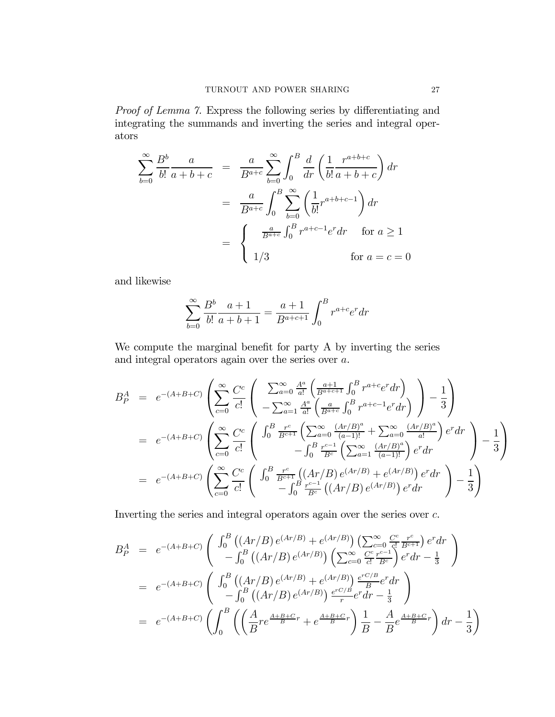Proof of Lemma 7. Express the following series by differentiating and integrating the summands and inverting the series and integral operators

$$
\sum_{b=0}^{\infty} \frac{B^b}{b!} \frac{a}{a+b+c} = \frac{a}{B^{a+c}} \sum_{b=0}^{\infty} \int_0^B \frac{d}{dr} \left( \frac{1}{b!} \frac{r^{a+b+c}}{a+b+c} \right) dr
$$
  

$$
= \frac{a}{B^{a+c}} \int_0^B \sum_{b=0}^{\infty} \left( \frac{1}{b!} r^{a+b+c-1} \right) dr
$$
  

$$
= \begin{cases} \frac{a}{B^{a+c}} \int_0^B r^{a+c-1} e^r dr & \text{for } a \ge 1 \\ 1/3 & \text{for } a=c=0 \end{cases}
$$

and likewise

$$
\sum_{b=0}^{\infty} \frac{B^b}{b!} \frac{a+1}{a+b+1} = \frac{a+1}{B^{a+c+1}} \int_0^B r^{a+c} e^r dr
$$

We compute the marginal benefit for party A by inverting the series and integral operators again over the series over a.

$$
B_P^A = e^{-(A+B+C)} \left( \sum_{c=0}^{\infty} \frac{C^c}{c!} \left( \sum_{a=0}^{\infty} \frac{A^a}{a!} \left( \frac{a+1}{B^{a+c+1}} \int_0^B r^{a+c} e^r dr \right) - \frac{1}{3} \right) \right)
$$
  
\n
$$
= e^{-(A+B+C)} \left( \sum_{c=0}^{\infty} \frac{C^c}{c!} \left( \int_0^B \frac{r^c}{B^{c+1}} \left( \sum_{a=0}^{\infty} \frac{(Ar/B)^a}{(a-1)!} + \sum_{a=0}^{\infty} \frac{(Ar/B)^a}{a!} \right) e^r dr \right) - \frac{1}{3} \right)
$$
  
\n
$$
= e^{-(A+B+C)} \left( \sum_{c=0}^{\infty} \frac{C^c}{c!} \left( \int_0^B \frac{r^c}{B^{c+1}} \left( \sum_{a=0}^{\infty} \frac{(Ar/B)^a}{(a-1)!} + \sum_{a=0}^{\infty} \frac{(Ar/B)^a}{a!} \right) e^r dr \right) - \frac{1}{3} \right)
$$
  
\n
$$
= e^{-(A+B+C)} \left( \sum_{c=0}^{\infty} \frac{C^c}{c!} \left( \int_0^B \frac{r^c}{B^{c+1}} \left( (Ar/B) e^{(Ar/B)} + e^{(Ar/B)} \right) e^r dr \right) - \frac{1}{3} \right)
$$

Inverting the series and integral operators again over the series over c.

$$
B_P^A = e^{-(A+B+C)} \begin{pmatrix} \int_0^B \left( (Ar/B) e^{(Ar/B)} + e^{(Ar/B)} \right) \left( \sum_{c=0}^\infty \frac{C^c}{c!} \frac{r^c}{B^{c+1}} \right) e^r dr \\ - \int_0^B \left( (Ar/B) e^{(Ar/B)} \right) \left( \sum_{c=0}^\infty \frac{C^c}{c!} \frac{r^{c-1}}{B^c} \right) e^r dr - \frac{1}{3} \end{pmatrix}
$$
  
\n
$$
= e^{-(A+B+C)} \begin{pmatrix} \int_0^B \left( (Ar/B) e^{(Ar/B)} + e^{(Ar/B)} \right) \frac{e^{rC/B}}{B} e^r dr \\ - \int_0^B \left( (Ar/B) e^{(Ar/B)} \right) \frac{e^{rC/B}}{r} e^r dr - \frac{1}{3} \end{pmatrix}
$$
  
\n
$$
= e^{-(A+B+C)} \begin{pmatrix} \int_0^B \left( \left( \frac{A}{B} r e^{\frac{A+B+C}{B}r} + e^{\frac{A+B+C}{B}r} \right) \frac{1}{B} - \frac{A}{B} e^{\frac{A+B+C}{B}r} \right) dr - \frac{1}{3} \end{pmatrix}
$$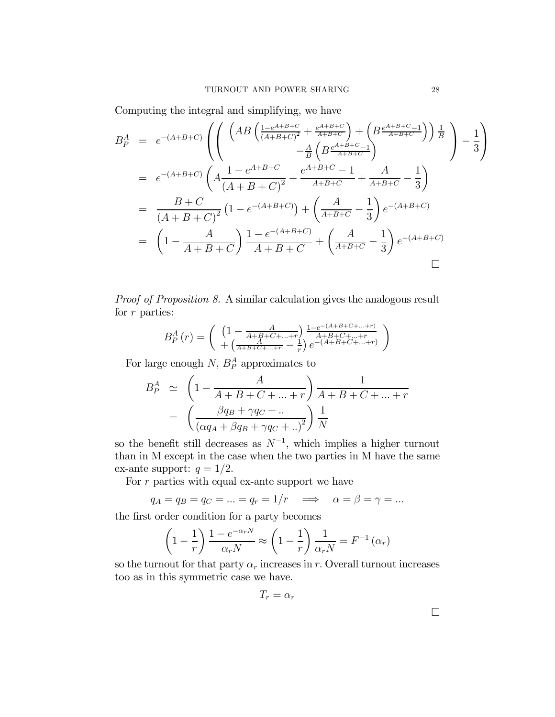Computing the integral and simplifying, we have

$$
B_P^A = e^{-(A+B+C)} \left( \left( \frac{\left( AB \left( \frac{1 - e^{A+B+C}}{(A+B+C)^2} + \frac{e^{A+B+C}}{A+B+C} \right) + \left( B \frac{e^{A+B+C}-1}{A+B+C} \right) \right) \frac{1}{B}}{-\frac{A}{B} \left( B \frac{e^{A+B+C}-1}{A+B+C} \right)} - \frac{1}{3} \right) \right)
$$
  
\n
$$
= e^{-(A+B+C)} \left( A \frac{1 - e^{A+B+C}}{(A+B+C)^2} + \frac{e^{A+B+C}-1}{A+B+C} + \frac{A}{A+B+C} - \frac{1}{3} \right)
$$
  
\n
$$
= \frac{B+C}{(A+B+C)^2} \left( 1 - e^{-(A+B+C)} \right) + \left( \frac{A}{A+B+C} - \frac{1}{3} \right) e^{-(A+B+C)}
$$
  
\n
$$
= \left( 1 - \frac{A}{A+B+C} \right) \frac{1 - e^{-(A+B+C)}}{A+B+C} + \left( \frac{A}{A+B+C} - \frac{1}{3} \right) e^{-(A+B+C)}
$$

Proof of Proposition 8. A similar calculation gives the analogous result for r parties:

$$
B_P^A(r) = \begin{pmatrix} \left(1 - \frac{A}{A + B + C + \dots + r}\right) \frac{1 - e^{-(A + B + C + \dots + r)}}{A + B + C + \dots + r} \\ + \left(\frac{A}{A + B + C + \dots + r} - \frac{1}{r}\right) e^{-(A + B + C + \dots + r)} \end{pmatrix}
$$

For large enough  $N$ ,  $B_P^A$  approximates to

$$
B_P^A \simeq \left(1 - \frac{A}{A + B + C + \dots + r}\right) \frac{1}{A + B + C + \dots + r}
$$

$$
= \left(\frac{\beta q_B + \gamma q_C + \dots}{\left(\alpha q_A + \beta q_B + \gamma q_C + \dots\right)^2}\right) \frac{1}{N}
$$

so the benefit still decreases as  $N^{-1}$ , which implies a higher turnout than in M except in the case when the two parties in M have the same ex-ante support:  $q = 1/2$ .

For  $r$  parties with equal ex-ante support we have

$$
q_A = q_B = q_C = \ldots = q_r = 1/r \implies \alpha = \beta = \gamma = \ldots
$$

the first order condition for a party becomes

$$
\left(1 - \frac{1}{r}\right) \frac{1 - e^{-\alpha_r N}}{\alpha_r N} \approx \left(1 - \frac{1}{r}\right) \frac{1}{\alpha_r N} = F^{-1}(\alpha_r)
$$

so the turnout for that party  $\alpha_r$  increases in r. Overall turnout increases too as in this symmetric case we have.

$$
T_r = \alpha_r
$$

 $\Box$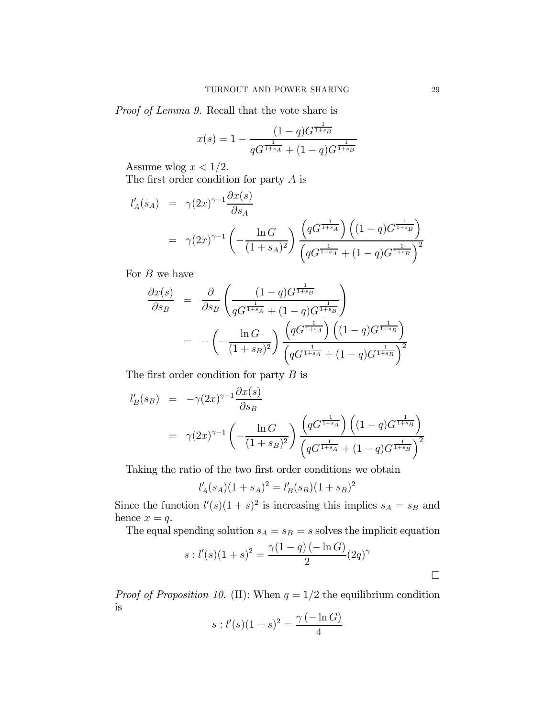Proof of Lemma 9. Recall that the vote share is

$$
x(s) = 1 - \frac{(1-q)G^{\frac{1}{1+s_B}}}{qG^{\frac{1}{1+s_A}} + (1-q)G^{\frac{1}{1+s_B}}}
$$

Assume wlog  $x < 1/2$ .

The first order condition for party A is

$$
l'_{A}(s_{A}) = \gamma (2x)^{\gamma - 1} \frac{\partial x(s)}{\partial s_{A}}
$$
  
=  $\gamma (2x)^{\gamma - 1} \left( -\frac{\ln G}{(1 + s_{A})^{2}} \right) \frac{\left( qG^{\frac{1}{1 + s_{A}}} \right) \left( (1 - q)G^{\frac{1}{1 + s_{B}}} \right)}{\left( qG^{\frac{1}{1 + s_{A}}} + (1 - q)G^{\frac{1}{1 + s_{B}}} \right)^{2}}$ 

For  $B$  we have

$$
\frac{\partial x(s)}{\partial s_B} = \frac{\partial}{\partial s_B} \left( \frac{(1-q)G^{\frac{1}{1+s_B}}}{qG^{\frac{1}{1+s_A}} + (1-q)G^{\frac{1}{1+s_B}}} \right)
$$
  
= 
$$
- \left( -\frac{\ln G}{(1+s_B)^2} \right) \frac{\left( qG^{\frac{1}{1+s_A}} \right) \left( (1-q)G^{\frac{1}{1+s_B}} \right)}{\left( qG^{\frac{1}{1+s_A}} + (1-q)G^{\frac{1}{1+s_B}} \right)^2}
$$

The first order condition for party  $B$  is

$$
l'_{B}(s_{B}) = -\gamma (2x)^{\gamma - 1} \frac{\partial x(s)}{\partial s_{B}}
$$
  
=  $\gamma (2x)^{\gamma - 1} \left( -\frac{\ln G}{(1 + s_{B})^{2}} \right) \frac{\left( qG^{\frac{1}{1 + s_{A}}}\right) \left( (1 - q)G^{\frac{1}{1 + s_{B}}}\right)}{\left( qG^{\frac{1}{1 + s_{A}}} + (1 - q)G^{\frac{1}{1 + s_{B}}}\right)^{2}}$ 

Taking the ratio of the two first order conditions we obtain

$$
l'_{A}(s_{A})(1 + s_{A})^{2} = l'_{B}(s_{B})(1 + s_{B})^{2}
$$

Since the function  $l'(s)(1 + s)^2$  is increasing this implies  $s_A = s_B$  and hence  $x = q$ .

The equal spending solution  $s_A = s_B = s$  solves the implicit equation

$$
s: l'(s)(1+s)^{2} = \frac{\gamma(1-q)(-\ln G)}{2}(2q)^{\gamma}
$$

*Proof of Proposition 10.* (II): When  $q = 1/2$  the equilibrium condition is

$$
s: l'(s)(1+s)^{2} = \frac{\gamma(-\ln G)}{4}
$$

¤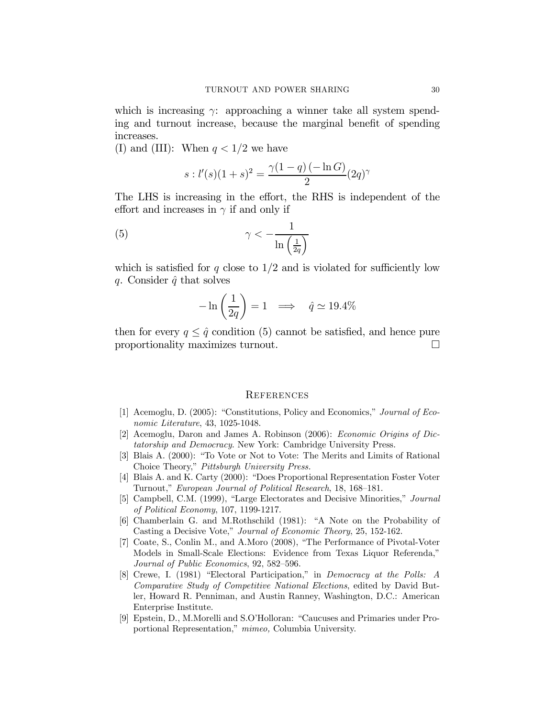which is increasing  $\gamma$ : approaching a winner take all system spending and turnout increase, because the marginal benefit of spending increases.

(I) and (III): When  $q < 1/2$  we have

$$
s: l'(s)(1+s)^{2} = \frac{\gamma(1-q)(-\ln G)}{2}(2q)^{\gamma}
$$

The LHS is increasing in the effort, the RHS is independent of the effort and increases in  $\gamma$  if and only if

$$
\gamma < -\frac{1}{\ln\left(\frac{1}{2q}\right)}
$$

which is satisfied for q close to  $1/2$  and is violated for sufficiently low q. Consider  $\hat{q}$  that solves

$$
-\ln\left(\frac{1}{2q}\right) = 1 \implies \hat{q} \simeq 19.4\%
$$

then for every  $q \leq \hat{q}$  condition (5) cannot be satisfied, and hence pure proportionality maximizes turnout. proportionality maximizes turnout. ¤

### **REFERENCES**

- [1] Acemoglu, D. (2005): "Constitutions, Policy and Economics," Journal of Economic Literature, 43, 1025-1048.
- [2] Acemoglu, Daron and James A. Robinson (2006): Economic Origins of Dictatorship and Democracy. New York: Cambridge University Press.
- [3] Blais A. (2000): "To Vote or Not to Vote: The Merits and Limits of Rational Choice Theory," Pittsburgh University Press.
- [4] Blais A. and K. Carty (2000): "Does Proportional Representation Foster Voter Turnout," European Journal of Political Research, 18, 168—181.
- [5] Campbell, C.M. (1999), "Large Electorates and Decisive Minorities," Journal of Political Economy, 107, 1199-1217.
- [6] Chamberlain G. and M.Rothschild (1981): "A Note on the Probability of Casting a Decisive Vote," Journal of Economic Theory, 25, 152-162.
- [7] Coate, S., Conlin M., and A.Moro (2008), "The Performance of Pivotal-Voter Models in Small-Scale Elections: Evidence from Texas Liquor Referenda," Journal of Public Economics, 92, 582—596.
- [8] Crewe, I. (1981) "Electoral Participation," in Democracy at the Polls: A Comparative Study of Competitive National Elections, edited by David Butler, Howard R. Penniman, and Austin Ranney, Washington, D.C.: American Enterprise Institute.
- [9] Epstein, D., M.Morelli and S.O'Holloran: "Caucuses and Primaries under Proportional Representation," mimeo, Columbia University.